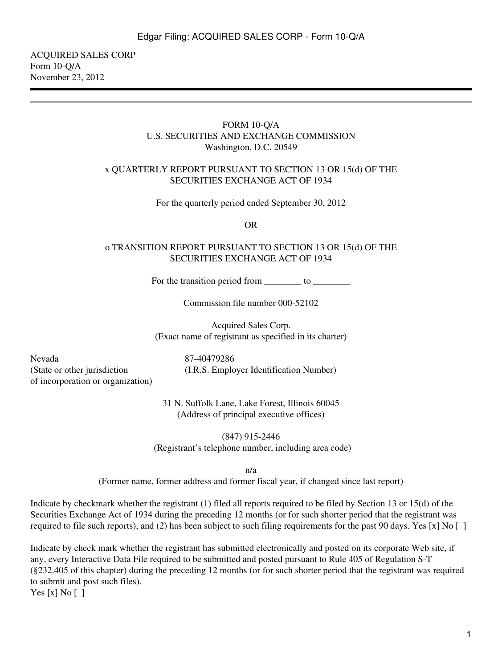ACQUIRED SALES CORP Form 10-Q/A November 23, 2012

#### FORM 10-Q/A U.S. SECURITIES AND EXCHANGE COMMISSION Washington, D.C. 20549

#### x QUARTERLY REPORT PURSUANT TO SECTION 13 OR 15(d) OF THE SECURITIES EXCHANGE ACT OF 1934

For the quarterly period ended September 30, 2012

OR

#### o TRANSITION REPORT PURSUANT TO SECTION 13 OR 15(d) OF THE SECURITIES EXCHANGE ACT OF 1934

For the transition period from \_\_\_\_\_\_\_\_ to \_\_\_\_\_\_\_\_\_\_

Commission file number 000-52102

Acquired Sales Corp. (Exact name of registrant as specified in its charter)

Nevada (State or other jurisdiction of incorporation or organization) 87-40479286 (I.R.S. Employer Identification Number)

31 N. Suffolk Lane, Lake Forest, Illinois 60045 (Address of principal executive offices)

(847) 915-2446 (Registrant's telephone number, including area code)

n/a

(Former name, former address and former fiscal year, if changed since last report)

Indicate by checkmark whether the registrant (1) filed all reports required to be filed by Section 13 or 15(d) of the Securities Exchange Act of 1934 during the preceding 12 months (or for such shorter period that the registrant was required to file such reports), and (2) has been subject to such filing requirements for the past 90 days. Yes [x] No []

Indicate by check mark whether the registrant has submitted electronically and posted on its corporate Web site, if any, every Interactive Data File required to be submitted and posted pursuant to Rule 405 of Regulation S-T (§232.405 of this chapter) during the preceding 12 months (or for such shorter period that the registrant was required to submit and post such files).

Yes [x] No []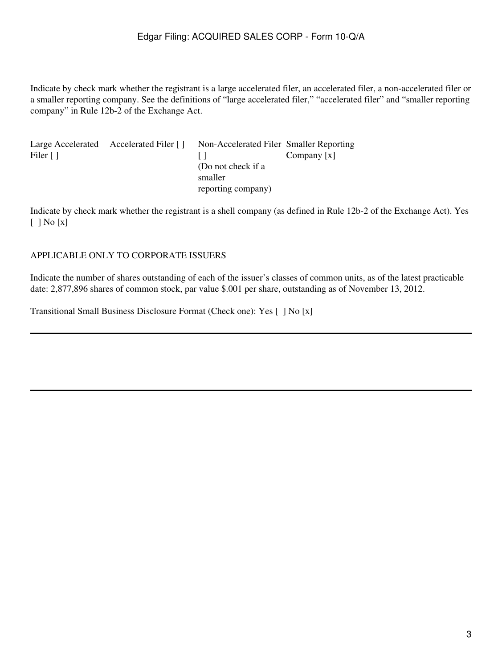Indicate by check mark whether the registrant is a large accelerated filer, an accelerated filer, a non-accelerated filer or a smaller reporting company. See the definitions of "large accelerated filer," "accelerated filer" and "smaller reporting company" in Rule 12b-2 of the Exchange Act.

|                             | Large Accelerated Accelerated Filer [] | Non-Accelerated Filer Smaller Reporting |               |
|-----------------------------|----------------------------------------|-----------------------------------------|---------------|
| Filer $\lceil \cdot \rceil$ |                                        |                                         | Company $[x]$ |
|                             |                                        | (Do not check if a                      |               |
|                             |                                        | smaller                                 |               |
|                             |                                        | reporting company)                      |               |

Indicate by check mark whether the registrant is a shell company (as defined in Rule 12b-2 of the Exchange Act). Yes [ ] No [x]

#### APPLICABLE ONLY TO CORPORATE ISSUERS

Indicate the number of shares outstanding of each of the issuer's classes of common units, as of the latest practicable date: 2,877,896 shares of common stock, par value \$.001 per share, outstanding as of November 13, 2012.

Transitional Small Business Disclosure Format (Check one): Yes [ ] No [x]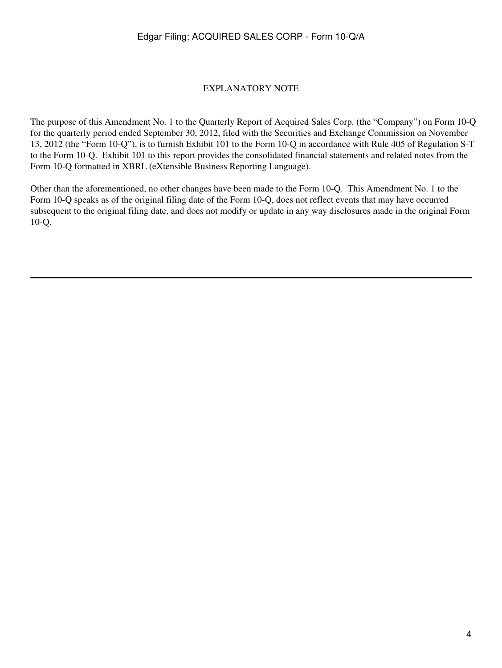#### EXPLANATORY NOTE

The purpose of this Amendment No. 1 to the Quarterly Report of Acquired Sales Corp. (the "Company") on Form 10-Q for the quarterly period ended September 30, 2012, filed with the Securities and Exchange Commission on November 13, 2012 (the "Form 10-Q"), is to furnish Exhibit 101 to the Form 10-Q in accordance with Rule 405 of Regulation S-T to the Form 10-Q. Exhibit 101 to this report provides the consolidated financial statements and related notes from the Form 10-Q formatted in XBRL (eXtensible Business Reporting Language).

Other than the aforementioned, no other changes have been made to the Form 10-Q. This Amendment No. 1 to the Form 10-Q speaks as of the original filing date of the Form 10-Q, does not reflect events that may have occurred subsequent to the original filing date, and does not modify or update in any way disclosures made in the original Form 10-Q.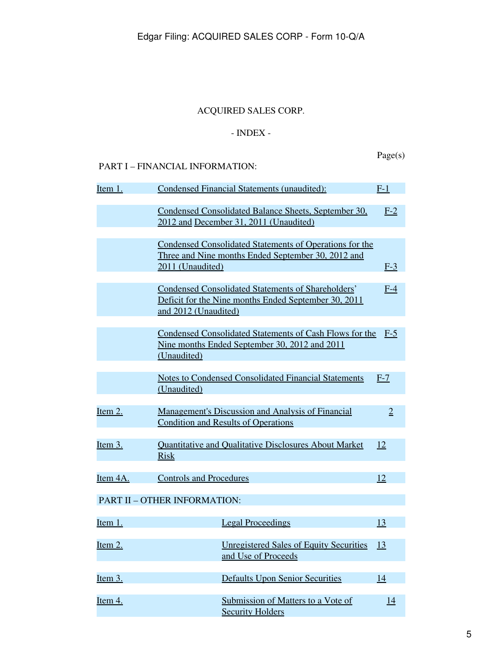# ACQUIRED SALES CORP.

# - INDEX -

Page(s)

# <span id="page-4-0"></span>PART I – FINANCIAL INFORMATION:

| Item 1.    | <b>Condensed Financial Statements (unaudited):</b>                                                                                        | $F-1$          |
|------------|-------------------------------------------------------------------------------------------------------------------------------------------|----------------|
|            | Condensed Consolidated Balance Sheets, September 30,<br>2012 and December 31, 2011 (Unaudited)                                            | $F-2$          |
|            | Condensed Consolidated Statements of Operations for the<br>Three and Nine months Ended September 30, 2012 and<br>2011 (Unaudited)         | $F-3$          |
|            | <b>Condensed Consolidated Statements of Shareholders'</b><br>Deficit for the Nine months Ended September 30, 2011<br>and 2012 (Unaudited) | $F-4$          |
|            | Condensed Consolidated Statements of Cash Flows for the<br>Nine months Ended September 30, 2012 and 2011<br>(Unaudited)                   | $F-5$          |
|            | <b>Notes to Condensed Consolidated Financial Statements</b><br>(Unaudited)                                                                | $F-7$          |
| Item 2.    | <b>Management's Discussion and Analysis of Financial</b><br><b>Condition and Results of Operations</b>                                    | $\overline{2}$ |
| Item 3.    | Quantitative and Qualitative Disclosures About Market<br><b>Risk</b>                                                                      | 12             |
| Item 4A.   | <b>Controls and Procedures</b>                                                                                                            | 12             |
|            | PART II - OTHER INFORMATION:                                                                                                              |                |
| Item 1.    | <b>Legal Proceedings</b>                                                                                                                  | 13             |
| Item $2$ . | <b>Unregistered Sales of Equity Securities</b><br>and Use of Proceeds                                                                     | 13             |
| Item 3.    | <b>Defaults Upon Senior Securities</b>                                                                                                    | 14             |
| Item 4.    | Submission of Matters to a Vote of<br><b>Security Holders</b>                                                                             | 14             |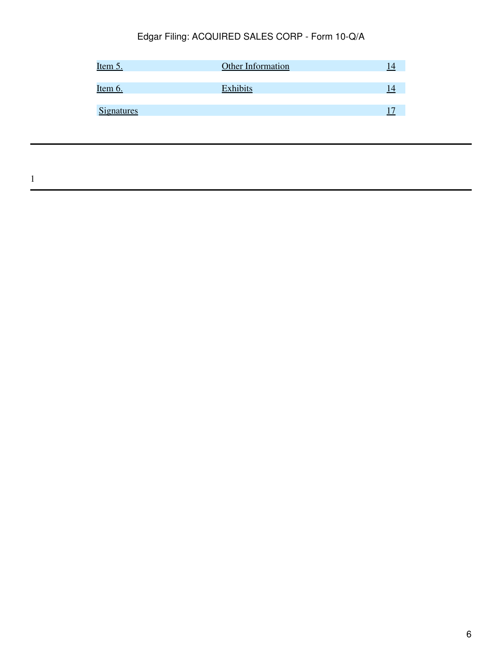| <u>Item 5.</u>    | Other Information | 14 |
|-------------------|-------------------|----|
| Item 6.           | <b>Exhibits</b>   | 14 |
| <b>Signatures</b> |                   |    |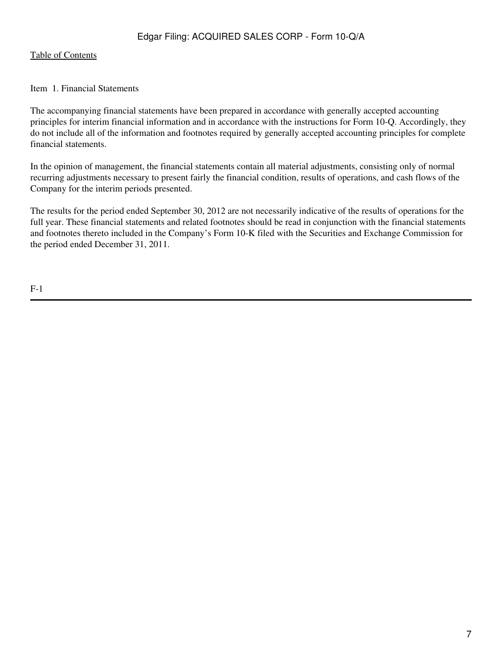#### [Table of Contents](#page-4-0)

<span id="page-6-0"></span>Item 1. Financial Statements

The accompanying financial statements have been prepared in accordance with generally accepted accounting principles for interim financial information and in accordance with the instructions for Form 10-Q. Accordingly, they do not include all of the information and footnotes required by generally accepted accounting principles for complete financial statements.

In the opinion of management, the financial statements contain all material adjustments, consisting only of normal recurring adjustments necessary to present fairly the financial condition, results of operations, and cash flows of the Company for the interim periods presented.

The results for the period ended September 30, 2012 are not necessarily indicative of the results of operations for the full year. These financial statements and related footnotes should be read in conjunction with the financial statements and footnotes thereto included in the Company's Form 10-K filed with the Securities and Exchange Commission for the period ended December 31, 2011.

F-1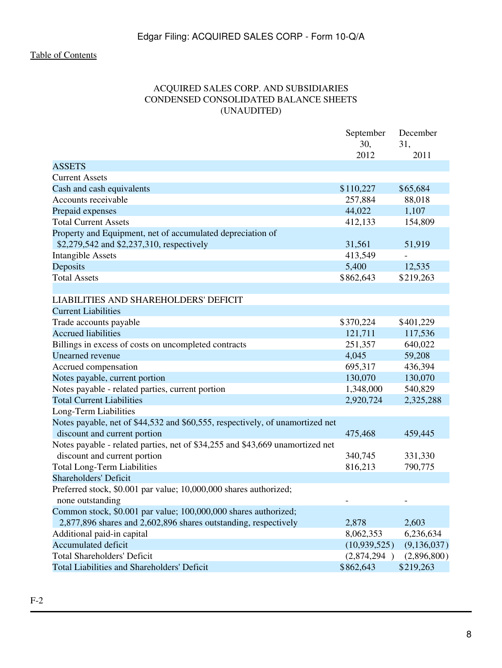# ACQUIRED SALES CORP. AND SUBSIDIARIES CONDENSED CONSOLIDATED BALANCE SHEETS (UNAUDITED)

<span id="page-7-0"></span>

|                                                                               | September    | December      |
|-------------------------------------------------------------------------------|--------------|---------------|
|                                                                               | 30,          | 31,           |
|                                                                               | 2012         | 2011          |
| <b>ASSETS</b>                                                                 |              |               |
| <b>Current Assets</b>                                                         |              |               |
| Cash and cash equivalents                                                     | \$110,227    | \$65,684      |
| Accounts receivable                                                           | 257,884      | 88,018        |
| Prepaid expenses                                                              | 44,022       | 1,107         |
| <b>Total Current Assets</b>                                                   | 412,133      | 154,809       |
| Property and Equipment, net of accumulated depreciation of                    |              |               |
| \$2,279,542 and \$2,237,310, respectively                                     | 31,561       | 51,919        |
| <b>Intangible Assets</b>                                                      | 413,549      |               |
| Deposits                                                                      | 5,400        | 12,535        |
| <b>Total Assets</b>                                                           | \$862,643    | \$219,263     |
|                                                                               |              |               |
| <b>LIABILITIES AND SHAREHOLDERS' DEFICIT</b>                                  |              |               |
| <b>Current Liabilities</b>                                                    |              |               |
| Trade accounts payable                                                        | \$370,224    | \$401,229     |
| <b>Accrued liabilities</b>                                                    | 121,711      | 117,536       |
| Billings in excess of costs on uncompleted contracts                          | 251,357      | 640,022       |
| Unearned revenue                                                              | 4,045        | 59,208        |
| Accrued compensation                                                          | 695,317      | 436,394       |
| Notes payable, current portion                                                | 130,070      | 130,070       |
| Notes payable - related parties, current portion                              | 1,348,000    | 540,829       |
| <b>Total Current Liabilities</b>                                              | 2,920,724    | 2,325,288     |
| Long-Term Liabilities                                                         |              |               |
| Notes payable, net of \$44,532 and \$60,555, respectively, of unamortized net |              |               |
| discount and current portion                                                  | 475,468      | 459,445       |
| Notes payable - related parties, net of \$34,255 and \$43,669 unamortized net |              |               |
| discount and current portion                                                  | 340,745      | 331,330       |
| <b>Total Long-Term Liabilities</b>                                            | 816,213      | 790,775       |
| <b>Shareholders' Deficit</b>                                                  |              |               |
| Preferred stock, \$0.001 par value; 10,000,000 shares authorized;             |              |               |
| none outstanding                                                              |              |               |
| Common stock, \$0.001 par value; 100,000,000 shares authorized;               |              |               |
| 2,877,896 shares and 2,602,896 shares outstanding, respectively               | 2,878        | 2,603         |
| Additional paid-in capital                                                    | 8,062,353    | 6,236,634     |
| <b>Accumulated deficit</b>                                                    | (10,939,525) | (9, 136, 037) |
| <b>Total Shareholders' Deficit</b>                                            | (2,874,294)  | (2,896,800)   |
| Total Liabilities and Shareholders' Deficit                                   | \$862,643    | \$219,263     |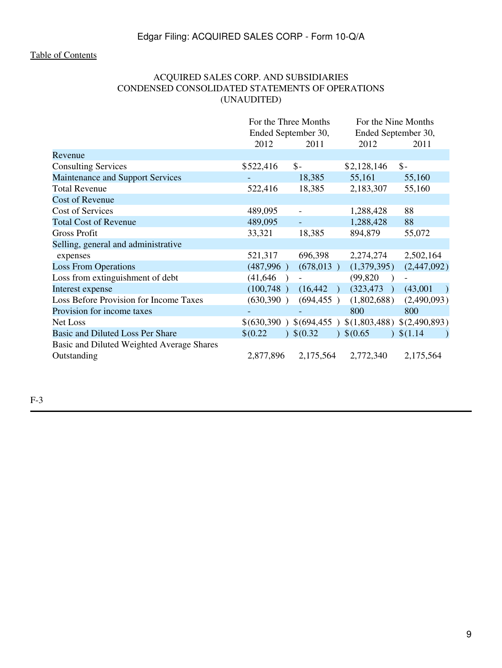# ACQUIRED SALES CORP. AND SUBSIDIARIES CONDENSED CONSOLIDATED STATEMENTS OF OPERATIONS (UNAUDITED)

<span id="page-8-0"></span>

|                                           |                     | For the Three Months | For the Nine Months                     |                 |
|-------------------------------------------|---------------------|----------------------|-----------------------------------------|-----------------|
|                                           | Ended September 30, |                      | Ended September 30,                     |                 |
|                                           | 2012                | 2011                 | 2012                                    | 2011            |
| Revenue                                   |                     |                      |                                         |                 |
| <b>Consulting Services</b>                | \$522,416           | $\mathsf{\$}$ -      | \$2,128,146                             | $\mathsf{\$}$ - |
| Maintenance and Support Services          |                     | 18,385               | 55,161                                  | 55,160          |
| <b>Total Revenue</b>                      | 522,416             | 18,385               | 2,183,307                               | 55,160          |
| <b>Cost of Revenue</b>                    |                     |                      |                                         |                 |
| Cost of Services                          | 489,095             | $\overline{a}$       | 1,288,428                               | 88              |
| <b>Total Cost of Revenue</b>              | 489,095             |                      | 1,288,428                               | 88              |
| <b>Gross Profit</b>                       | 33,321              | 18,385               | 894,879                                 | 55,072          |
| Selling, general and administrative       |                     |                      |                                         |                 |
| expenses                                  | 521,317             | 696,398              | 2,274,274                               | 2,502,164       |
| <b>Loss From Operations</b>               | (487,996)           | (678, 013)           | (1,379,395)                             | (2,447,092)     |
| Loss from extinguishment of debt          | (41, 646)           |                      | (99, 820)                               |                 |
| Interest expense                          | (100,748)           | (16, 442)            | (323, 473)                              | (43,001)        |
| Loss Before Provision for Income Taxes    | (630, 390)          | (694, 455)           | (1,802,688)                             | (2,490,093)     |
| Provision for income taxes                |                     |                      | 800                                     | 800             |
| Net Loss                                  | \$(630,390)         |                      | \$(694,455) \$(1,803,488) \$(2,490,893) |                 |
| Basic and Diluted Loss Per Share          | \$0.22              | \$(0.32)             | \$0.65                                  | \$(1.14)        |
| Basic and Diluted Weighted Average Shares |                     |                      |                                         |                 |
| Outstanding                               | 2,877,896           | 2,175,564            | 2,772,340                               | 2,175,564       |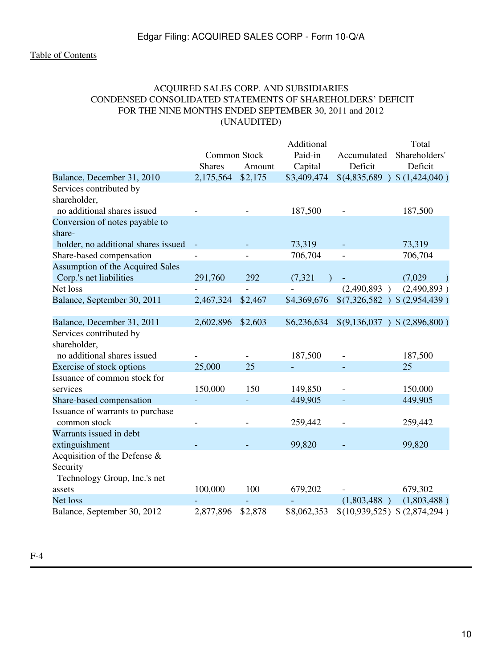# ACQUIRED SALES CORP. AND SUBSIDIARIES CONDENSED CONSOLIDATED STATEMENTS OF SHAREHOLDERS' DEFICIT FOR THE NINE MONTHS ENDED SEPTEMBER 30, 2011 and 2012 (UNAUDITED)

<span id="page-9-0"></span>

|                                     |               |         | Additional  |                                  | Total         |
|-------------------------------------|---------------|---------|-------------|----------------------------------|---------------|
|                                     | Common Stock  |         | Paid-in     | Accumulated                      | Shareholders' |
|                                     | <b>Shares</b> | Amount  | Capital     | Deficit                          | Deficit       |
| Balance, December 31, 2010          | 2,175,564     | \$2,175 | \$3,409,474 | \$(4,835,689)                    | \$(1,424,040) |
| Services contributed by             |               |         |             |                                  |               |
| shareholder,                        |               |         |             |                                  |               |
| no additional shares issued         |               |         | 187,500     |                                  | 187,500       |
| Conversion of notes payable to      |               |         |             |                                  |               |
| share-                              |               |         |             |                                  |               |
| holder, no additional shares issued |               |         | 73,319      |                                  | 73,319        |
| Share-based compensation            |               |         | 706,704     |                                  | 706,704       |
| Assumption of the Acquired Sales    |               |         |             |                                  |               |
| Corp.'s net liabilities             | 291,760       | 292     | (7, 321)    |                                  | (7,029)       |
| Net loss                            |               |         |             | (2,490,893)                      | (2,490,893)   |
| Balance, September 30, 2011         | 2,467,324     | \$2,467 | \$4,369,676 | $$(7,326,582)$ $$(2,954,439)$    |               |
|                                     |               |         |             |                                  |               |
| Balance, December 31, 2011          | 2,602,896     | \$2,603 | \$6,236,634 | $$(9,136,037)$ \; $$(2,896,800)$ |               |
| Services contributed by             |               |         |             |                                  |               |
| shareholder,                        |               |         |             |                                  |               |
| no additional shares issued         |               |         | 187,500     |                                  | 187,500       |
| Exercise of stock options           | 25,000        | 25      |             |                                  | 25            |
| Issuance of common stock for        |               |         |             |                                  |               |
| services                            | 150,000       | 150     | 149,850     |                                  | 150,000       |
| Share-based compensation            |               |         | 449,905     |                                  | 449,905       |
| Issuance of warrants to purchase    |               |         |             |                                  |               |
| common stock                        |               |         | 259,442     |                                  | 259,442       |
| Warrants issued in debt             |               |         |             |                                  |               |
| extinguishment                      |               |         | 99,820      |                                  | 99,820        |
| Acquisition of the Defense $\&$     |               |         |             |                                  |               |
| Security                            |               |         |             |                                  |               |
| Technology Group, Inc.'s net        |               |         |             |                                  |               |
| assets                              | 100,000       | 100     | 679,202     |                                  | 679,302       |
| Net loss                            |               |         |             | (1,803,488)                      | (1,803,488)   |
| Balance, September 30, 2012         | 2,877,896     | \$2,878 | \$8,062,353 | \$(10,939,525) \$(.2,874,294)    |               |

F-4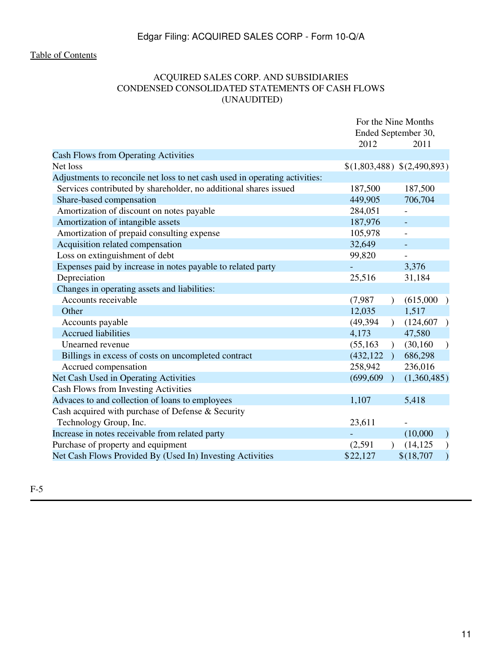# ACQUIRED SALES CORP. AND SUBSIDIARIES CONDENSED CONSOLIDATED STATEMENTS OF CASH FLOWS (UNAUDITED)

<span id="page-10-0"></span>

|                                                                             | For the Nine Months         |                             |
|-----------------------------------------------------------------------------|-----------------------------|-----------------------------|
|                                                                             | Ended September 30,         |                             |
|                                                                             | 2012                        | 2011                        |
| <b>Cash Flows from Operating Activities</b>                                 |                             |                             |
| Net loss                                                                    |                             | \$(1,803,488) \$(2,490,893) |
| Adjustments to reconcile net loss to net cash used in operating activities: |                             |                             |
| Services contributed by shareholder, no additional shares issued            | 187,500                     | 187,500                     |
| Share-based compensation                                                    | 449,905                     | 706,704                     |
| Amortization of discount on notes payable                                   | 284,051                     |                             |
| Amortization of intangible assets                                           | 187,976                     | $\equiv$                    |
| Amortization of prepaid consulting expense                                  | 105,978                     |                             |
| Acquisition related compensation                                            | 32,649                      |                             |
| Loss on extinguishment of debt                                              | 99,820                      |                             |
| Expenses paid by increase in notes payable to related party                 |                             | 3,376                       |
| Depreciation                                                                | 25,516                      | 31,184                      |
| Changes in operating assets and liabilities:                                |                             |                             |
| Accounts receivable                                                         | (7,987)<br>$\mathcal{L}$    | (615,000)                   |
| Other                                                                       | 12,035                      | 1,517                       |
| Accounts payable                                                            | (49, 394)<br>$\lambda$      | (124, 607)<br>$\rightarrow$ |
| <b>Accrued liabilities</b>                                                  | 4,173                       | 47,580                      |
| Unearned revenue                                                            | (55, 163)<br>$\lambda$      | (30, 160)<br>$\lambda$      |
| Billings in excess of costs on uncompleted contract                         | (432, 122)<br>$\rightarrow$ | 686,298                     |
| Accrued compensation                                                        | 258,942                     | 236,016                     |
| Net Cash Used in Operating Activities                                       | (699, 609)<br>$\lambda$     | (1,360,485)                 |
| Cash Flows from Investing Activities                                        |                             |                             |
| Advaces to and collection of loans to employees                             | 1,107                       | 5,418                       |
| Cash acquired with purchase of Defense & Security                           |                             |                             |
| Technology Group, Inc.                                                      | 23,611                      |                             |
| Increase in notes receivable from related party                             |                             | (10,000)<br>$\mathcal{L}$   |
| Purchase of property and equipment                                          | (2,591)<br>$\lambda$        | (14, 125)                   |
| Net Cash Flows Provided By (Used In) Investing Activities                   | \$22,127                    | \$(18,707                   |
|                                                                             |                             |                             |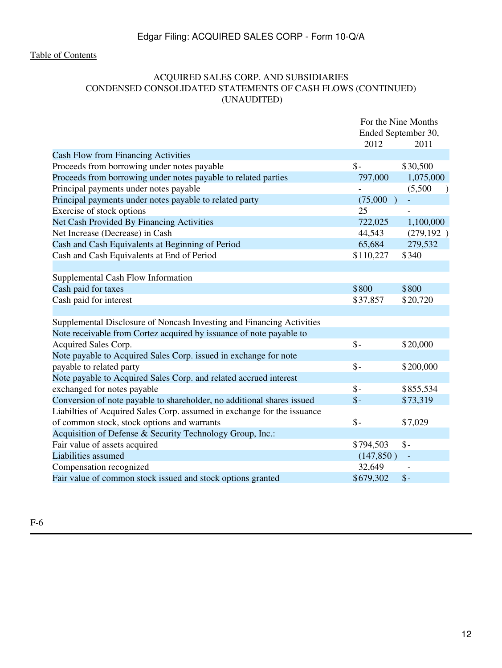# ACQUIRED SALES CORP. AND SUBSIDIARIES CONDENSED CONSOLIDATED STATEMENTS OF CASH FLOWS (CONTINUED) (UNAUDITED)

|                                                                         | For the Nine Months |                      |
|-------------------------------------------------------------------------|---------------------|----------------------|
|                                                                         | Ended September 30, |                      |
|                                                                         | 2012                | 2011                 |
| <b>Cash Flow from Financing Activities</b>                              |                     |                      |
| Proceeds from borrowing under notes payable                             | $\mathsf{\$}$ -     | \$30,500             |
| Proceeds from borrowing under notes payable to related parties          | 797,000             | 1,075,000            |
| Principal payments under notes payable                                  |                     | (5,500)<br>$\lambda$ |
| Principal payments under notes payable to related party                 | (75,000)            |                      |
| Exercise of stock options                                               | 25                  |                      |
| Net Cash Provided By Financing Activities                               | 722,025             | 1,100,000            |
| Net Increase (Decrease) in Cash                                         | 44,543              | (279, 192)           |
| Cash and Cash Equivalents at Beginning of Period                        | 65,684              | 279,532              |
| Cash and Cash Equivalents at End of Period                              | \$110,227           | \$340                |
|                                                                         |                     |                      |
| Supplemental Cash Flow Information                                      |                     |                      |
| Cash paid for taxes                                                     | \$800               | \$800                |
| Cash paid for interest                                                  | \$37,857            | \$20,720             |
|                                                                         |                     |                      |
| Supplemental Disclosure of Noncash Investing and Financing Activities   |                     |                      |
| Note receivable from Cortez acquired by issuance of note payable to     |                     |                      |
| Acquired Sales Corp.                                                    | $\mathsf{\$}$       | \$20,000             |
| Note payable to Acquired Sales Corp. issued in exchange for note        |                     |                      |
| payable to related party                                                | $\mathsf{\$}$ -     | \$200,000            |
| Note payable to Acquired Sales Corp. and related accrued interest       |                     |                      |
| exchanged for notes payable                                             | $\mathsf{\$}$ -     | \$855,534            |
| Conversion of note payable to shareholder, no additional shares issued  | $\mathsf{\$}$       | \$73,319             |
| Liabilties of Acquired Sales Corp. assumed in exchange for the issuance |                     |                      |
| of common stock, stock options and warrants                             | $\mathsf{\$}$ -     | \$7,029              |
| Acquisition of Defense & Security Technology Group, Inc.:               |                     |                      |
| Fair value of assets acquired                                           | \$794,503           | $\mathsf{\$}$        |
| Liabilities assumed                                                     | (147, 850)          | $\sim$               |
| Compensation recognized                                                 | 32,649              |                      |
| Fair value of common stock issued and stock options granted             | \$679,302           | $\mathcal{S}$ -      |
|                                                                         |                     |                      |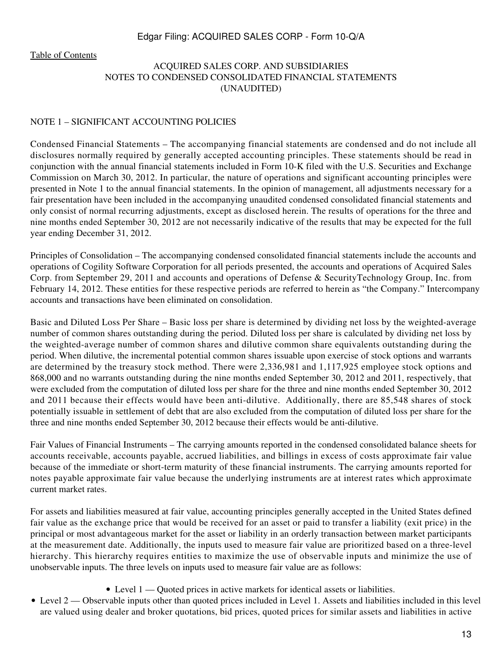#### <span id="page-12-0"></span>[Table of Contents](#page-4-0)

# ACQUIRED SALES CORP. AND SUBSIDIARIES NOTES TO CONDENSED CONSOLIDATED FINANCIAL STATEMENTS (UNAUDITED)

#### NOTE 1 – SIGNIFICANT ACCOUNTING POLICIES

Condensed Financial Statements – The accompanying financial statements are condensed and do not include all disclosures normally required by generally accepted accounting principles. These statements should be read in conjunction with the annual financial statements included in Form 10-K filed with the U.S. Securities and Exchange Commission on March 30, 2012. In particular, the nature of operations and significant accounting principles were presented in Note 1 to the annual financial statements. In the opinion of management, all adjustments necessary for a fair presentation have been included in the accompanying unaudited condensed consolidated financial statements and only consist of normal recurring adjustments, except as disclosed herein. The results of operations for the three and nine months ended September 30, 2012 are not necessarily indicative of the results that may be expected for the full year ending December 31, 2012.

Principles of Consolidation – The accompanying condensed consolidated financial statements include the accounts and operations of Cogility Software Corporation for all periods presented, the accounts and operations of Acquired Sales Corp. from September 29, 2011 and accounts and operations of Defense & SecurityTechnology Group, Inc. from February 14, 2012. These entities for these respective periods are referred to herein as "the Company." Intercompany accounts and transactions have been eliminated on consolidation.

Basic and Diluted Loss Per Share – Basic loss per share is determined by dividing net loss by the weighted-average number of common shares outstanding during the period. Diluted loss per share is calculated by dividing net loss by the weighted-average number of common shares and dilutive common share equivalents outstanding during the period. When dilutive, the incremental potential common shares issuable upon exercise of stock options and warrants are determined by the treasury stock method. There were 2,336,981 and 1,117,925 employee stock options and 868,000 and no warrants outstanding during the nine months ended September 30, 2012 and 2011, respectively, that were excluded from the computation of diluted loss per share for the three and nine months ended September 30, 2012 and 2011 because their effects would have been anti-dilutive. Additionally, there are 85,548 shares of stock potentially issuable in settlement of debt that are also excluded from the computation of diluted loss per share for the three and nine months ended September 30, 2012 because their effects would be anti-dilutive.

Fair Values of Financial Instruments – The carrying amounts reported in the condensed consolidated balance sheets for accounts receivable, accounts payable, accrued liabilities, and billings in excess of costs approximate fair value because of the immediate or short-term maturity of these financial instruments. The carrying amounts reported for notes payable approximate fair value because the underlying instruments are at interest rates which approximate current market rates.

For assets and liabilities measured at fair value, accounting principles generally accepted in the United States defined fair value as the exchange price that would be received for an asset or paid to transfer a liability (exit price) in the principal or most advantageous market for the asset or liability in an orderly transaction between market participants at the measurement date. Additionally, the inputs used to measure fair value are prioritized based on a three-level hierarchy. This hierarchy requires entities to maximize the use of observable inputs and minimize the use of unobservable inputs. The three levels on inputs used to measure fair value are as follows:

- Level 1 Quoted prices in active markets for identical assets or liabilities.
- Level 2 Observable inputs other than quoted prices included in Level 1. Assets and liabilities included in this level are valued using dealer and broker quotations, bid prices, quoted prices for similar assets and liabilities in active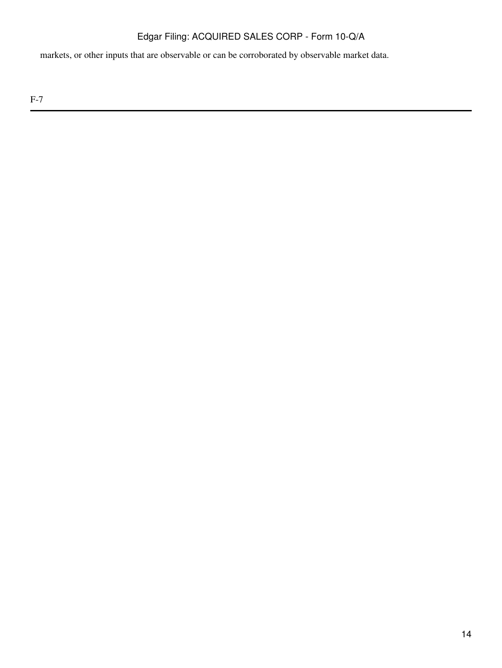markets, or other inputs that are observable or can be corroborated by observable market data.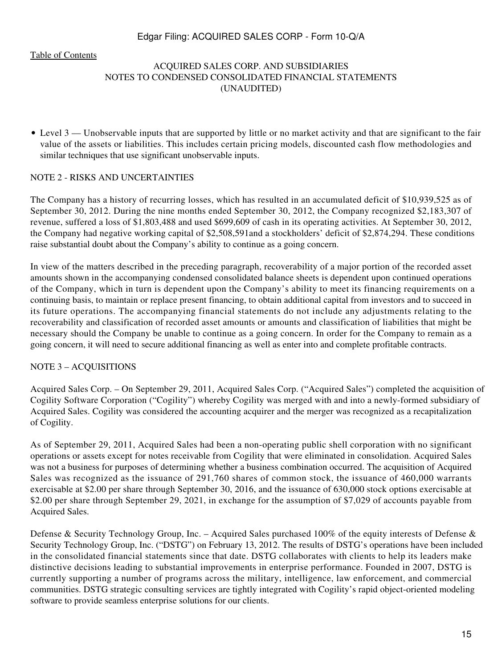[Table of Contents](#page-4-0)

# ACQUIRED SALES CORP. AND SUBSIDIARIES NOTES TO CONDENSED CONSOLIDATED FINANCIAL STATEMENTS (UNAUDITED)

• Level 3 — Unobservable inputs that are supported by little or no market activity and that are significant to the fair value of the assets or liabilities. This includes certain pricing models, discounted cash flow methodologies and similar techniques that use significant unobservable inputs.

#### NOTE 2 - RISKS AND UNCERTAINTIES

The Company has a history of recurring losses, which has resulted in an accumulated deficit of \$10,939,525 as of September 30, 2012. During the nine months ended September 30, 2012, the Company recognized \$2,183,307 of revenue, suffered a loss of \$1,803,488 and used \$699,609 of cash in its operating activities. At September 30, 2012, the Company had negative working capital of \$2,508,591and a stockholders' deficit of \$2,874,294. These conditions raise substantial doubt about the Company's ability to continue as a going concern.

In view of the matters described in the preceding paragraph, recoverability of a major portion of the recorded asset amounts shown in the accompanying condensed consolidated balance sheets is dependent upon continued operations of the Company, which in turn is dependent upon the Company's ability to meet its financing requirements on a continuing basis, to maintain or replace present financing, to obtain additional capital from investors and to succeed in its future operations. The accompanying financial statements do not include any adjustments relating to the recoverability and classification of recorded asset amounts or amounts and classification of liabilities that might be necessary should the Company be unable to continue as a going concern. In order for the Company to remain as a going concern, it will need to secure additional financing as well as enter into and complete profitable contracts.

#### NOTE 3 – ACQUISITIONS

Acquired Sales Corp. – On September 29, 2011, Acquired Sales Corp. ("Acquired Sales") completed the acquisition of Cogility Software Corporation ("Cogility") whereby Cogility was merged with and into a newly-formed subsidiary of Acquired Sales. Cogility was considered the accounting acquirer and the merger was recognized as a recapitalization of Cogility.

As of September 29, 2011, Acquired Sales had been a non-operating public shell corporation with no significant operations or assets except for notes receivable from Cogility that were eliminated in consolidation. Acquired Sales was not a business for purposes of determining whether a business combination occurred. The acquisition of Acquired Sales was recognized as the issuance of 291,760 shares of common stock, the issuance of 460,000 warrants exercisable at \$2.00 per share through September 30, 2016, and the issuance of 630,000 stock options exercisable at \$2.00 per share through September 29, 2021, in exchange for the assumption of \$7,029 of accounts payable from Acquired Sales.

Defense & Security Technology Group, Inc. – Acquired Sales purchased 100% of the equity interests of Defense & Security Technology Group, Inc. ("DSTG") on February 13, 2012. The results of DSTG's operations have been included in the consolidated financial statements since that date. DSTG collaborates with clients to help its leaders make distinctive decisions leading to substantial improvements in enterprise performance. Founded in 2007, DSTG is currently supporting a number of programs across the military, intelligence, law enforcement, and commercial communities. DSTG strategic consulting services are tightly integrated with Cogility's rapid object-oriented modeling software to provide seamless enterprise solutions for our clients.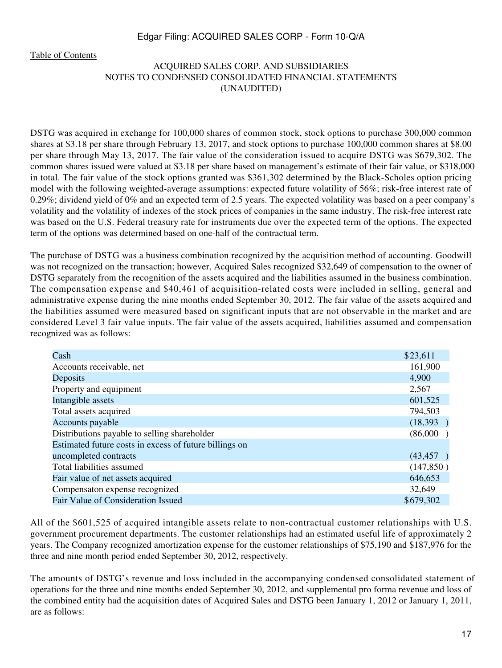[Table of Contents](#page-4-0)

# ACQUIRED SALES CORP. AND SUBSIDIARIES NOTES TO CONDENSED CONSOLIDATED FINANCIAL STATEMENTS (UNAUDITED)

DSTG was acquired in exchange for 100,000 shares of common stock, stock options to purchase 300,000 common shares at \$3.18 per share through February 13, 2017, and stock options to purchase 100,000 common shares at \$8.00 per share through May 13, 2017. The fair value of the consideration issued to acquire DSTG was \$679,302. The common shares issued were valued at \$3.18 per share based on management's estimate of their fair value, or \$318,000 in total. The fair value of the stock options granted was \$361,302 determined by the Black-Scholes option pricing model with the following weighted-average assumptions: expected future volatility of 56%; risk-free interest rate of 0.29%; dividend yield of 0% and an expected term of 2.5 years. The expected volatility was based on a peer company's volatility and the volatility of indexes of the stock prices of companies in the same industry. The risk-free interest rate was based on the U.S. Federal treasury rate for instruments due over the expected term of the options. The expected term of the options was determined based on one-half of the contractual term.

The purchase of DSTG was a business combination recognized by the acquisition method of accounting. Goodwill was not recognized on the transaction; however, Acquired Sales recognized \$32,649 of compensation to the owner of DSTG separately from the recognition of the assets acquired and the liabilities assumed in the business combination. The compensation expense and \$40,461 of acquisition-related costs were included in selling, general and administrative expense during the nine months ended September 30, 2012. The fair value of the assets acquired and the liabilities assumed were measured based on significant inputs that are not observable in the market and are considered Level 3 fair value inputs. The fair value of the assets acquired, liabilities assumed and compensation recognized was as follows:

| Cash                                                   | \$23,611   |
|--------------------------------------------------------|------------|
| Accounts receivable, net                               | 161,900    |
| Deposits                                               | 4,900      |
| Property and equipment                                 | 2,567      |
| Intangible assets                                      | 601,525    |
| Total assets acquired                                  | 794,503    |
| Accounts payable                                       | (18,393)   |
| Distributions payable to selling shareholder           | (86,000)   |
| Estimated future costs in excess of future billings on |            |
| uncompleted contracts                                  | (43, 457)  |
| Total liabilities assumed                              | (147, 850) |
| Fair value of net assets acquired                      | 646,653    |
| Compensaton expense recognized                         | 32,649     |
| Fair Value of Consideration Issued                     | \$679,302  |
|                                                        |            |

All of the \$601,525 of acquired intangible assets relate to non-contractual customer relationships with U.S. government procurement departments. The customer relationships had an estimated useful life of approximately 2 years. The Company recognized amortization expense for the customer relationships of \$75,190 and \$187,976 for the three and nine month period ended September 30, 2012, respectively.

The amounts of DSTG's revenue and loss included in the accompanying condensed consolidated statement of operations for the three and nine months ended September 30, 2012, and supplemental pro forma revenue and loss of the combined entity had the acquisition dates of Acquired Sales and DSTG been January 1, 2012 or January 1, 2011, are as follows: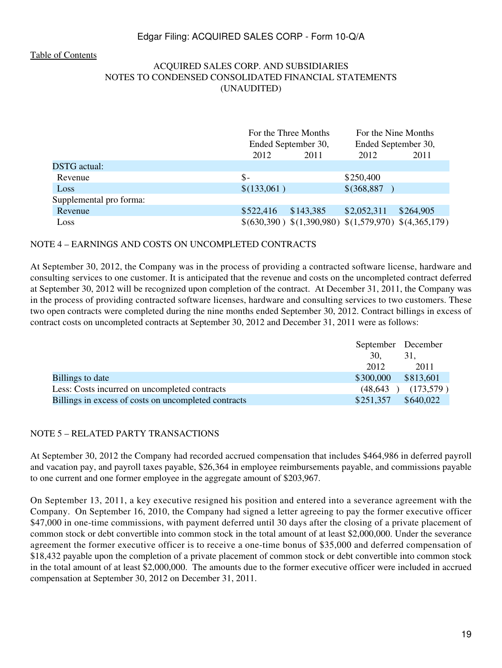#### [Table of Contents](#page-4-0)

# ACQUIRED SALES CORP. AND SUBSIDIARIES NOTES TO CONDENSED CONSOLIDATED FINANCIAL STATEMENTS (UNAUDITED)

|                         |             | For the Three Months |               | For the Nine Months                                 |  |
|-------------------------|-------------|----------------------|---------------|-----------------------------------------------------|--|
|                         |             | Ended September 30,  |               | Ended September 30,                                 |  |
|                         | 2012        | 2011                 | 2012          | 2011                                                |  |
| <b>DSTG</b> actual:     |             |                      |               |                                                     |  |
| Revenue                 | $S-$        |                      | \$250,400     |                                                     |  |
| Loss                    | \$(133,061) |                      | $$$ (368,887) |                                                     |  |
| Supplemental pro forma: |             |                      |               |                                                     |  |
| Revenue                 | \$522,416   | \$143,385            | \$2,052,311   | \$264,905                                           |  |
| Loss                    |             |                      |               | $$(630,390) $(1,390,980) $(1,579,970) $(4,365,179)$ |  |

#### NOTE 4 – EARNINGS AND COSTS ON UNCOMPLETED CONTRACTS

At September 30, 2012, the Company was in the process of providing a contracted software license, hardware and consulting services to one customer. It is anticipated that the revenue and costs on the uncompleted contract deferred at September 30, 2012 will be recognized upon completion of the contract. At December 31, 2011, the Company was in the process of providing contracted software licenses, hardware and consulting services to two customers. These two open contracts were completed during the nine months ended September 30, 2012. Contract billings in excess of contract costs on uncompleted contracts at September 30, 2012 and December 31, 2011 were as follows:

|                                                      |           | September December |
|------------------------------------------------------|-----------|--------------------|
|                                                      | 30.       | 31,                |
|                                                      | 2012      | 2011               |
| Billings to date                                     | \$300,000 | \$813,601          |
| Less: Costs incurred on uncompleted contracts        | (48, 643) | (173,579)          |
| Billings in excess of costs on uncompleted contracts | \$251,357 | \$640,022          |

#### NOTE 5 – RELATED PARTY TRANSACTIONS

At September 30, 2012 the Company had recorded accrued compensation that includes \$464,986 in deferred payroll and vacation pay, and payroll taxes payable, \$26,364 in employee reimbursements payable, and commissions payable to one current and one former employee in the aggregate amount of \$203,967.

On September 13, 2011, a key executive resigned his position and entered into a severance agreement with the Company. On September 16, 2010, the Company had signed a letter agreeing to pay the former executive officer \$47,000 in one-time commissions, with payment deferred until 30 days after the closing of a private placement of common stock or debt convertible into common stock in the total amount of at least \$2,000,000. Under the severance agreement the former executive officer is to receive a one-time bonus of \$35,000 and deferred compensation of \$18,432 payable upon the completion of a private placement of common stock or debt convertible into common stock in the total amount of at least \$2,000,000. The amounts due to the former executive officer were included in accrued compensation at September 30, 2012 on December 31, 2011.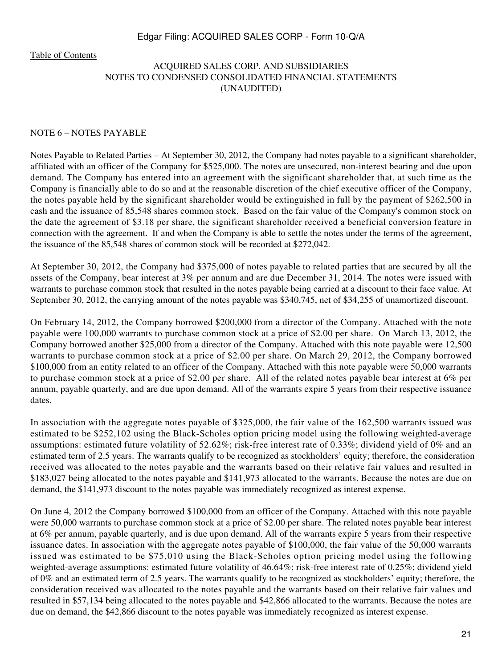[Table of Contents](#page-4-0)

# ACQUIRED SALES CORP. AND SUBSIDIARIES NOTES TO CONDENSED CONSOLIDATED FINANCIAL STATEMENTS (UNAUDITED)

#### NOTE 6 – NOTES PAYABLE

Notes Payable to Related Parties – At September 30, 2012, the Company had notes payable to a significant shareholder, affiliated with an officer of the Company for \$525,000. The notes are unsecured, non-interest bearing and due upon demand. The Company has entered into an agreement with the significant shareholder that, at such time as the Company is financially able to do so and at the reasonable discretion of the chief executive officer of the Company, the notes payable held by the significant shareholder would be extinguished in full by the payment of \$262,500 in cash and the issuance of 85,548 shares common stock. Based on the fair value of the Company's common stock on the date the agreement of \$3.18 per share, the significant shareholder received a beneficial conversion feature in connection with the agreement. If and when the Company is able to settle the notes under the terms of the agreement, the issuance of the 85,548 shares of common stock will be recorded at \$272,042.

At September 30, 2012, the Company had \$375,000 of notes payable to related parties that are secured by all the assets of the Company, bear interest at 3% per annum and are due December 31, 2014. The notes were issued with warrants to purchase common stock that resulted in the notes payable being carried at a discount to their face value. At September 30, 2012, the carrying amount of the notes payable was \$340,745, net of \$34,255 of unamortized discount.

On February 14, 2012, the Company borrowed \$200,000 from a director of the Company. Attached with the note payable were 100,000 warrants to purchase common stock at a price of \$2.00 per share. On March 13, 2012, the Company borrowed another \$25,000 from a director of the Company. Attached with this note payable were 12,500 warrants to purchase common stock at a price of \$2.00 per share. On March 29, 2012, the Company borrowed \$100,000 from an entity related to an officer of the Company. Attached with this note payable were 50,000 warrants to purchase common stock at a price of \$2.00 per share. All of the related notes payable bear interest at 6% per annum, payable quarterly, and are due upon demand. All of the warrants expire 5 years from their respective issuance dates.

In association with the aggregate notes payable of \$325,000, the fair value of the 162,500 warrants issued was estimated to be \$252,102 using the Black-Scholes option pricing model using the following weighted-average assumptions: estimated future volatility of 52.62%; risk-free interest rate of 0.33%; dividend yield of 0% and an estimated term of 2.5 years. The warrants qualify to be recognized as stockholders' equity; therefore, the consideration received was allocated to the notes payable and the warrants based on their relative fair values and resulted in \$183,027 being allocated to the notes payable and \$141,973 allocated to the warrants. Because the notes are due on demand, the \$141,973 discount to the notes payable was immediately recognized as interest expense.

On June 4, 2012 the Company borrowed \$100,000 from an officer of the Company. Attached with this note payable were 50,000 warrants to purchase common stock at a price of \$2.00 per share. The related notes payable bear interest at 6% per annum, payable quarterly, and is due upon demand. All of the warrants expire 5 years from their respective issuance dates. In association with the aggregate notes payable of \$100,000, the fair value of the 50,000 warrants issued was estimated to be \$75,010 using the Black-Scholes option pricing model using the following weighted-average assumptions: estimated future volatility of 46.64%; risk-free interest rate of 0.25%; dividend yield of 0% and an estimated term of 2.5 years. The warrants qualify to be recognized as stockholders' equity; therefore, the consideration received was allocated to the notes payable and the warrants based on their relative fair values and resulted in \$57,134 being allocated to the notes payable and \$42,866 allocated to the warrants. Because the notes are due on demand, the \$42,866 discount to the notes payable was immediately recognized as interest expense.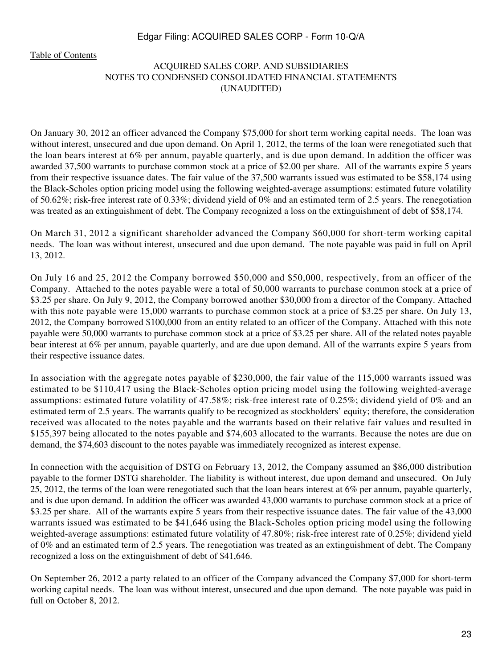[Table of Contents](#page-4-0)

# ACQUIRED SALES CORP. AND SUBSIDIARIES NOTES TO CONDENSED CONSOLIDATED FINANCIAL STATEMENTS (UNAUDITED)

On January 30, 2012 an officer advanced the Company \$75,000 for short term working capital needs. The loan was without interest, unsecured and due upon demand. On April 1, 2012, the terms of the loan were renegotiated such that the loan bears interest at 6% per annum, payable quarterly, and is due upon demand. In addition the officer was awarded 37,500 warrants to purchase common stock at a price of \$2.00 per share. All of the warrants expire 5 years from their respective issuance dates. The fair value of the 37,500 warrants issued was estimated to be \$58,174 using the Black-Scholes option pricing model using the following weighted-average assumptions: estimated future volatility of 50.62%; risk-free interest rate of 0.33%; dividend yield of 0% and an estimated term of 2.5 years. The renegotiation was treated as an extinguishment of debt. The Company recognized a loss on the extinguishment of debt of \$58,174.

On March 31, 2012 a significant shareholder advanced the Company \$60,000 for short-term working capital needs. The loan was without interest, unsecured and due upon demand. The note payable was paid in full on April 13, 2012.

On July 16 and 25, 2012 the Company borrowed \$50,000 and \$50,000, respectively, from an officer of the Company. Attached to the notes payable were a total of 50,000 warrants to purchase common stock at a price of \$3.25 per share. On July 9, 2012, the Company borrowed another \$30,000 from a director of the Company. Attached with this note payable were 15,000 warrants to purchase common stock at a price of \$3.25 per share. On July 13, 2012, the Company borrowed \$100,000 from an entity related to an officer of the Company. Attached with this note payable were 50,000 warrants to purchase common stock at a price of \$3.25 per share. All of the related notes payable bear interest at 6% per annum, payable quarterly, and are due upon demand. All of the warrants expire 5 years from their respective issuance dates.

In association with the aggregate notes payable of \$230,000, the fair value of the 115,000 warrants issued was estimated to be \$110,417 using the Black-Scholes option pricing model using the following weighted-average assumptions: estimated future volatility of 47.58%; risk-free interest rate of 0.25%; dividend yield of 0% and an estimated term of 2.5 years. The warrants qualify to be recognized as stockholders' equity; therefore, the consideration received was allocated to the notes payable and the warrants based on their relative fair values and resulted in \$155,397 being allocated to the notes payable and \$74,603 allocated to the warrants. Because the notes are due on demand, the \$74,603 discount to the notes payable was immediately recognized as interest expense.

In connection with the acquisition of DSTG on February 13, 2012, the Company assumed an \$86,000 distribution payable to the former DSTG shareholder. The liability is without interest, due upon demand and unsecured. On July 25, 2012, the terms of the loan were renegotiated such that the loan bears interest at  $6\%$  per annum, payable quarterly, and is due upon demand. In addition the officer was awarded 43,000 warrants to purchase common stock at a price of \$3.25 per share. All of the warrants expire 5 years from their respective issuance dates. The fair value of the 43,000 warrants issued was estimated to be \$41,646 using the Black-Scholes option pricing model using the following weighted-average assumptions: estimated future volatility of 47.80%; risk-free interest rate of 0.25%; dividend yield of 0% and an estimated term of 2.5 years. The renegotiation was treated as an extinguishment of debt. The Company recognized a loss on the extinguishment of debt of \$41,646.

On September 26, 2012 a party related to an officer of the Company advanced the Company \$7,000 for short-term working capital needs. The loan was without interest, unsecured and due upon demand. The note payable was paid in full on October 8, 2012.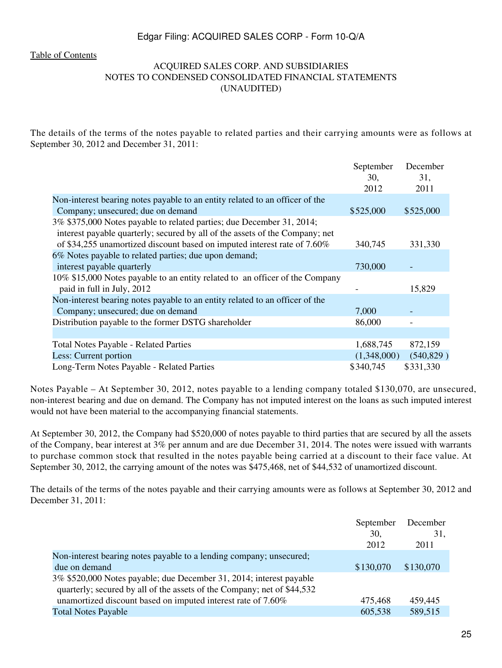[Table of Contents](#page-4-0)

# ACQUIRED SALES CORP. AND SUBSIDIARIES NOTES TO CONDENSED CONSOLIDATED FINANCIAL STATEMENTS (UNAUDITED)

The details of the terms of the notes payable to related parties and their carrying amounts were as follows at September 30, 2012 and December 31, 2011:

|                                                                              | September   | December    |
|------------------------------------------------------------------------------|-------------|-------------|
|                                                                              | 30.<br>2012 | 31,<br>2011 |
| Non-interest bearing notes payable to an entity related to an officer of the |             |             |
| Company; unsecured; due on demand                                            | \$525,000   | \$525,000   |
| 3% \$375,000 Notes payable to related parties; due December 31, 2014;        |             |             |
| interest payable quarterly; secured by all of the assets of the Company; net |             |             |
| of \$34,255 unamortized discount based on imputed interest rate of 7.60%     | 340,745     | 331,330     |
| 6% Notes payable to related parties; due upon demand;                        |             |             |
| interest payable quarterly                                                   | 730,000     |             |
| 10% \$15,000 Notes payable to an entity related to an officer of the Company |             |             |
| paid in full in July, 2012                                                   |             | 15,829      |
| Non-interest bearing notes payable to an entity related to an officer of the |             |             |
| Company; unsecured; due on demand                                            | 7,000       |             |
| Distribution payable to the former DSTG shareholder                          | 86,000      |             |
|                                                                              |             |             |
| <b>Total Notes Payable - Related Parties</b>                                 | 1,688,745   | 872,159     |
| Less: Current portion                                                        | (1,348,000) | (540, 829)  |
| Long-Term Notes Payable - Related Parties                                    | \$340,745   | \$331,330   |

Notes Payable – At September 30, 2012, notes payable to a lending company totaled \$130,070, are unsecured, non-interest bearing and due on demand. The Company has not imputed interest on the loans as such imputed interest would not have been material to the accompanying financial statements.

At September 30, 2012, the Company had \$520,000 of notes payable to third parties that are secured by all the assets of the Company, bear interest at 3% per annum and are due December 31, 2014. The notes were issued with warrants to purchase common stock that resulted in the notes payable being carried at a discount to their face value. At September 30, 2012, the carrying amount of the notes was \$475,468, net of \$44,532 of unamortized discount.

The details of the terms of the notes payable and their carrying amounts were as follows at September 30, 2012 and December 31, 2011:

|                                                                         | September<br>30,<br>2012 | December<br>31,<br>2011 |
|-------------------------------------------------------------------------|--------------------------|-------------------------|
| Non-interest bearing notes payable to a lending company; unsecured;     |                          |                         |
| due on demand                                                           | \$130,070                | \$130,070               |
| 3% \$520,000 Notes payable; due December 31, 2014; interest payable     |                          |                         |
| quarterly; secured by all of the assets of the Company; net of \$44,532 |                          |                         |
| unamortized discount based on imputed interest rate of 7.60%            | 475,468                  | 459,445                 |
| <b>Total Notes Payable</b>                                              | 605,538                  | 589,515                 |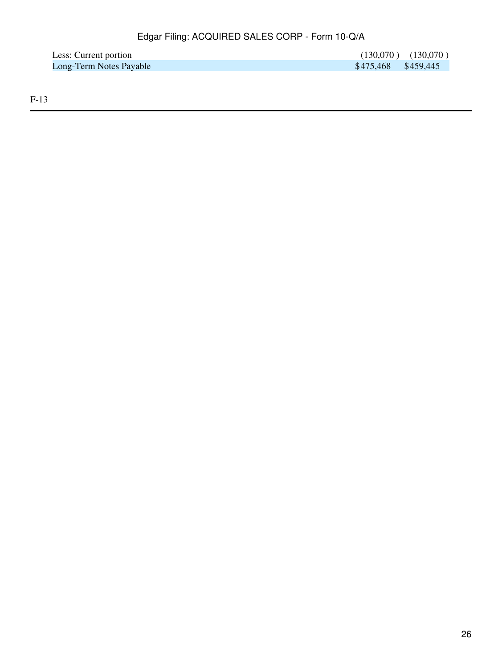| Less: Current portion   |                     | $(130,070)$ $(130,070)$ |
|-------------------------|---------------------|-------------------------|
| Long-Term Notes Payable | \$475,468 \$459,445 |                         |

F-13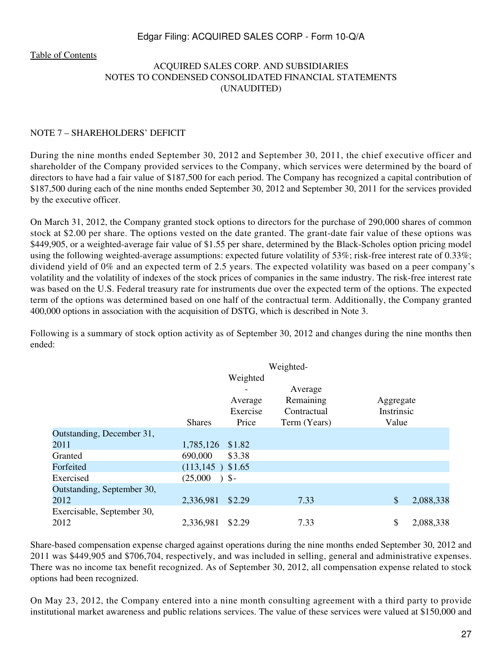[Table of Contents](#page-4-0)

# ACQUIRED SALES CORP. AND SUBSIDIARIES NOTES TO CONDENSED CONSOLIDATED FINANCIAL STATEMENTS (UNAUDITED)

#### NOTE 7 – SHAREHOLDERS' DEFICIT

During the nine months ended September 30, 2012 and September 30, 2011, the chief executive officer and shareholder of the Company provided services to the Company, which services were determined by the board of directors to have had a fair value of \$187,500 for each period. The Company has recognized a capital contribution of \$187,500 during each of the nine months ended September 30, 2012 and September 30, 2011 for the services provided by the executive officer.

On March 31, 2012, the Company granted stock options to directors for the purchase of 290,000 shares of common stock at \$2.00 per share. The options vested on the date granted. The grant-date fair value of these options was \$449,905, or a weighted-average fair value of \$1.55 per share, determined by the Black-Scholes option pricing model using the following weighted-average assumptions: expected future volatility of 53%; risk-free interest rate of 0.33%; dividend yield of 0% and an expected term of 2.5 years. The expected volatility was based on a peer company's volatility and the volatility of indexes of the stock prices of companies in the same industry. The risk-free interest rate was based on the U.S. Federal treasury rate for instruments due over the expected term of the options. The expected term of the options was determined based on one half of the contractual term. Additionally, the Company granted 400,000 options in association with the acquisition of DSTG, which is described in Note 3.

Following is a summary of stock option activity as of September 30, 2012 and changes during the nine months then ended:

|                            |                     |                   | Weighted-    |            |           |
|----------------------------|---------------------|-------------------|--------------|------------|-----------|
|                            |                     | Weighted          |              |            |           |
|                            |                     |                   | Average      |            |           |
|                            |                     | Average           | Remaining    | Aggregate  |           |
|                            |                     | Exercise          | Contractual  | Instrinsic |           |
|                            | <b>Shares</b>       | Price             | Term (Years) | Value      |           |
| Outstanding, December 31,  |                     |                   |              |            |           |
| 2011                       | 1,785,126 \$1.82    |                   |              |            |           |
| Granted                    | 690,000             | \$3.38            |              |            |           |
| Forfeited                  | $(113, 145)$ \$1.65 |                   |              |            |           |
| Exercised                  | (25,000)            | $\rightarrow$ \$- |              |            |           |
| Outstanding, September 30, |                     |                   |              |            |           |
| 2012                       | 2,336,981           | \$2.29            | 7.33         | \$         | 2,088,338 |
| Exercisable, September 30, |                     |                   |              |            |           |
| 2012                       | 2,336,981           | \$2.29            | 7.33         | \$         | 2,088,338 |

Share-based compensation expense charged against operations during the nine months ended September 30, 2012 and 2011 was \$449,905 and \$706,704, respectively, and was included in selling, general and administrative expenses. There was no income tax benefit recognized. As of September 30, 2012, all compensation expense related to stock options had been recognized.

On May 23, 2012, the Company entered into a nine month consulting agreement with a third party to provide institutional market awareness and public relations services. The value of these services were valued at \$150,000 and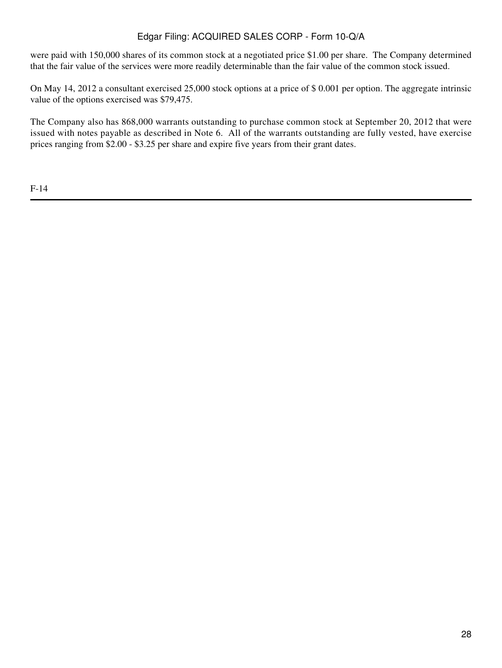were paid with 150,000 shares of its common stock at a negotiated price \$1.00 per share. The Company determined that the fair value of the services were more readily determinable than the fair value of the common stock issued.

On May 14, 2012 a consultant exercised 25,000 stock options at a price of \$ 0.001 per option. The aggregate intrinsic value of the options exercised was \$79,475.

The Company also has 868,000 warrants outstanding to purchase common stock at September 20, 2012 that were issued with notes payable as described in Note 6. All of the warrants outstanding are fully vested, have exercise prices ranging from \$2.00 - \$3.25 per share and expire five years from their grant dates.

F-14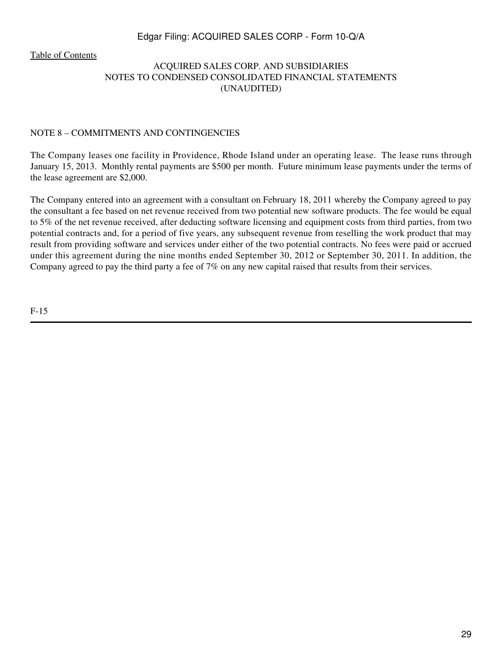[Table of Contents](#page-4-0)

# ACQUIRED SALES CORP. AND SUBSIDIARIES NOTES TO CONDENSED CONSOLIDATED FINANCIAL STATEMENTS (UNAUDITED)

#### NOTE 8 – COMMITMENTS AND CONTINGENCIES

The Company leases one facility in Providence, Rhode Island under an operating lease. The lease runs through January 15, 2013. Monthly rental payments are \$500 per month. Future minimum lease payments under the terms of the lease agreement are \$2,000.

The Company entered into an agreement with a consultant on February 18, 2011 whereby the Company agreed to pay the consultant a fee based on net revenue received from two potential new software products. The fee would be equal to 5% of the net revenue received, after deducting software licensing and equipment costs from third parties, from two potential contracts and, for a period of five years, any subsequent revenue from reselling the work product that may result from providing software and services under either of the two potential contracts. No fees were paid or accrued under this agreement during the nine months ended September 30, 2012 or September 30, 2011. In addition, the Company agreed to pay the third party a fee of 7% on any new capital raised that results from their services.

F-15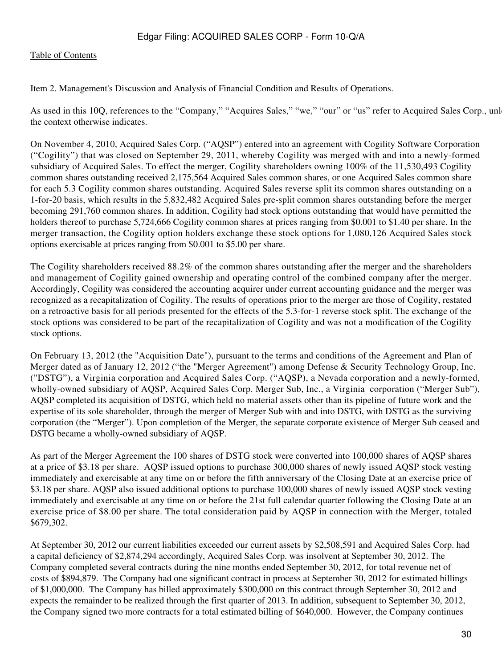#### [Table of Contents](#page-4-0)

<span id="page-29-0"></span>Item 2. Management's Discussion and Analysis of Financial Condition and Results of Operations.

As used in this 10Q, references to the "Company," "Acquires Sales," "we," "our" or "us" refer to Acquired Sales Corp., unl the context otherwise indicates.

On November 4, 2010, Acquired Sales Corp. ("AQSP") entered into an agreement with Cogility Software Corporation ("Cogility") that was closed on September 29, 2011, whereby Cogility was merged with and into a newly-formed subsidiary of Acquired Sales. To effect the merger, Cogility shareholders owning 100% of the 11,530,493 Cogility common shares outstanding received 2,175,564 Acquired Sales common shares, or one Acquired Sales common share for each 5.3 Cogility common shares outstanding. Acquired Sales reverse split its common shares outstanding on a 1-for-20 basis, which results in the 5,832,482 Acquired Sales pre-split common shares outstanding before the merger becoming 291,760 common shares. In addition, Cogility had stock options outstanding that would have permitted the holders thereof to purchase 5,724,666 Cogility common shares at prices ranging from \$0.001 to \$1.40 per share. In the merger transaction, the Cogility option holders exchange these stock options for 1,080,126 Acquired Sales stock options exercisable at prices ranging from \$0.001 to \$5.00 per share.

The Cogility shareholders received 88.2% of the common shares outstanding after the merger and the shareholders and management of Cogility gained ownership and operating control of the combined company after the merger. Accordingly, Cogility was considered the accounting acquirer under current accounting guidance and the merger was recognized as a recapitalization of Cogility. The results of operations prior to the merger are those of Cogility, restated on a retroactive basis for all periods presented for the effects of the 5.3-for-1 reverse stock split. The exchange of the stock options was considered to be part of the recapitalization of Cogility and was not a modification of the Cogility stock options.

On February 13, 2012 (the "Acquisition Date"), pursuant to the terms and conditions of the Agreement and Plan of Merger dated as of January 12, 2012 ("the "Merger Agreement") among Defense & Security Technology Group, Inc. ("DSTG"), a Virginia corporation and Acquired Sales Corp. ("AQSP), a Nevada corporation and a newly-formed, wholly-owned subsidiary of AQSP, Acquired Sales Corp. Merger Sub, Inc., a Virginia corporation ("Merger Sub"), AQSP completed its acquisition of DSTG, which held no material assets other than its pipeline of future work and the expertise of its sole shareholder, through the merger of Merger Sub with and into DSTG, with DSTG as the surviving corporation (the "Merger"). Upon completion of the Merger, the separate corporate existence of Merger Sub ceased and DSTG became a wholly-owned subsidiary of AQSP.

As part of the Merger Agreement the 100 shares of DSTG stock were converted into 100,000 shares of AQSP shares at a price of \$3.18 per share. AQSP issued options to purchase 300,000 shares of newly issued AQSP stock vesting immediately and exercisable at any time on or before the fifth anniversary of the Closing Date at an exercise price of \$3.18 per share. AQSP also issued additional options to purchase 100,000 shares of newly issued AQSP stock vesting immediately and exercisable at any time on or before the 21st full calendar quarter following the Closing Date at an exercise price of \$8.00 per share. The total consideration paid by AQSP in connection with the Merger, totaled \$679,302.

At September 30, 2012 our current liabilities exceeded our current assets by \$2,508,591 and Acquired Sales Corp. had a capital deficiency of \$2,874,294 accordingly, Acquired Sales Corp. was insolvent at September 30, 2012. The Company completed several contracts during the nine months ended September 30, 2012, for total revenue net of costs of \$894,879. The Company had one significant contract in process at September 30, 2012 for estimated billings of \$1,000,000. The Company has billed approximately \$300,000 on this contract through September 30, 2012 and expects the remainder to be realized through the first quarter of 2013. In addition, subsequent to September 30, 2012, the Company signed two more contracts for a total estimated billing of \$640,000. However, the Company continues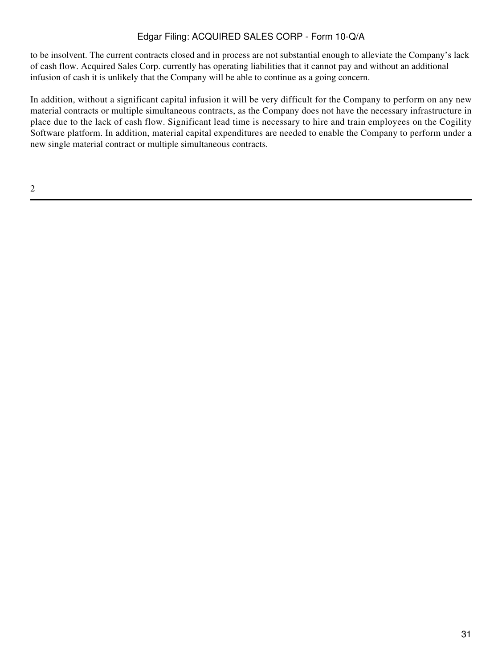to be insolvent. The current contracts closed and in process are not substantial enough to alleviate the Company's lack of cash flow. Acquired Sales Corp. currently has operating liabilities that it cannot pay and without an additional infusion of cash it is unlikely that the Company will be able to continue as a going concern.

In addition, without a significant capital infusion it will be very difficult for the Company to perform on any new material contracts or multiple simultaneous contracts, as the Company does not have the necessary infrastructure in place due to the lack of cash flow. Significant lead time is necessary to hire and train employees on the Cogility Software platform. In addition, material capital expenditures are needed to enable the Company to perform under a new single material contract or multiple simultaneous contracts.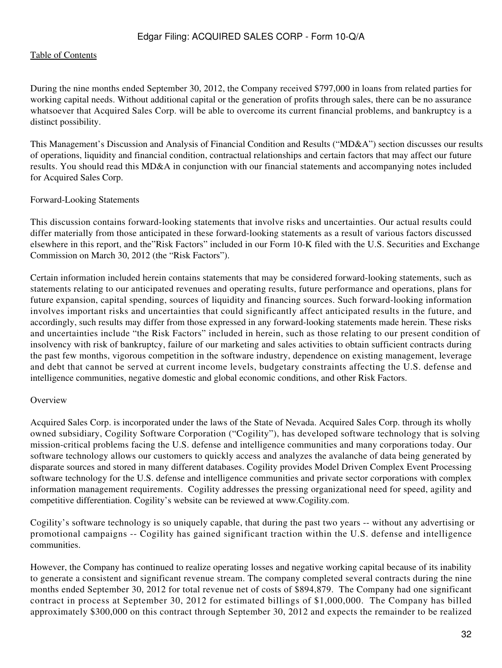During the nine months ended September 30, 2012, the Company received \$797,000 in loans from related parties for working capital needs. Without additional capital or the generation of profits through sales, there can be no assurance whatsoever that Acquired Sales Corp. will be able to overcome its current financial problems, and bankruptcy is a distinct possibility.

This Management's Discussion and Analysis of Financial Condition and Results ("MD&A") section discusses our results of operations, liquidity and financial condition, contractual relationships and certain factors that may affect our future results. You should read this MD&A in conjunction with our financial statements and accompanying notes included for Acquired Sales Corp.

#### Forward-Looking Statements

This discussion contains forward-looking statements that involve risks and uncertainties. Our actual results could differ materially from those anticipated in these forward-looking statements as a result of various factors discussed elsewhere in this report, and the"Risk Factors" included in our Form 10-K filed with the U.S. Securities and Exchange Commission on March 30, 2012 (the "Risk Factors").

Certain information included herein contains statements that may be considered forward-looking statements, such as statements relating to our anticipated revenues and operating results, future performance and operations, plans for future expansion, capital spending, sources of liquidity and financing sources. Such forward-looking information involves important risks and uncertainties that could significantly affect anticipated results in the future, and accordingly, such results may differ from those expressed in any forward-looking statements made herein. These risks and uncertainties include "the Risk Factors" included in herein, such as those relating to our present condition of insolvency with risk of bankruptcy, failure of our marketing and sales activities to obtain sufficient contracts during the past few months, vigorous competition in the software industry, dependence on existing management, leverage and debt that cannot be served at current income levels, budgetary constraints affecting the U.S. defense and intelligence communities, negative domestic and global economic conditions, and other Risk Factors.

#### **Overview**

Acquired Sales Corp. is incorporated under the laws of the State of Nevada. Acquired Sales Corp. through its wholly owned subsidiary, Cogility Software Corporation ("Cogility"), has developed software technology that is solving mission-critical problems facing the U.S. defense and intelligence communities and many corporations today. Our software technology allows our customers to quickly access and analyzes the avalanche of data being generated by disparate sources and stored in many different databases. Cogility provides Model Driven Complex Event Processing software technology for the U.S. defense and intelligence communities and private sector corporations with complex information management requirements. Cogility addresses the pressing organizational need for speed, agility and competitive differentiation. Cogility's website can be reviewed at www.Cogility.com.

Cogility's software technology is so uniquely capable, that during the past two years -- without any advertising or promotional campaigns -- Cogility has gained significant traction within the U.S. defense and intelligence communities.

However, the Company has continued to realize operating losses and negative working capital because of its inability to generate a consistent and significant revenue stream. The company completed several contracts during the nine months ended September 30, 2012 for total revenue net of costs of \$894,879. The Company had one significant contract in process at September 30, 2012 for estimated billings of \$1,000,000. The Company has billed approximately \$300,000 on this contract through September 30, 2012 and expects the remainder to be realized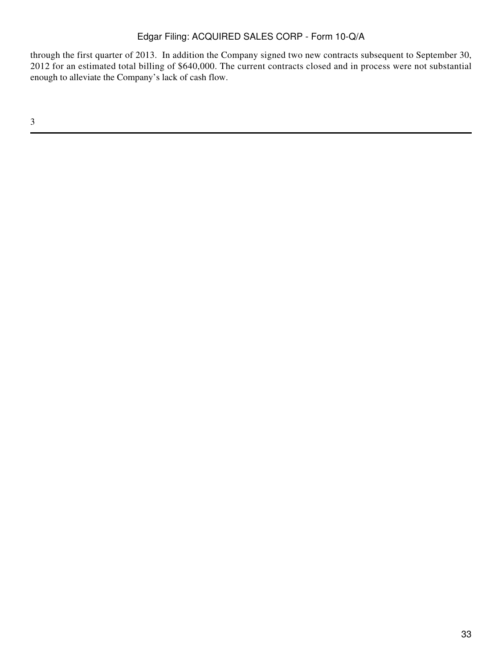through the first quarter of 2013. In addition the Company signed two new contracts subsequent to September 30, 2012 for an estimated total billing of \$640,000. The current contracts closed and in process were not substantial enough to alleviate the Company's lack of cash flow.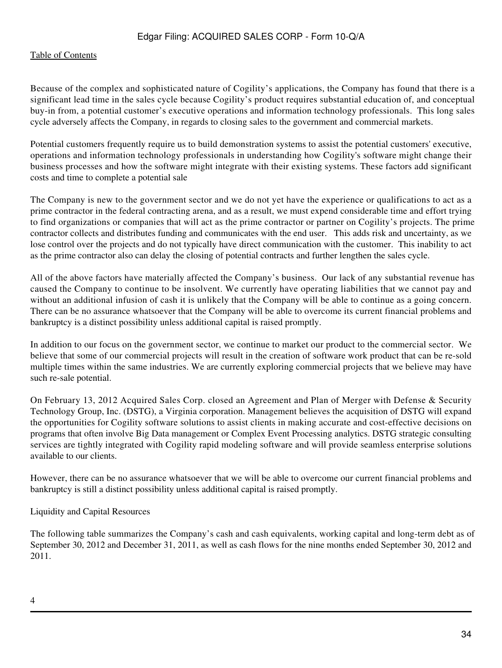#### [Table of Contents](#page-4-0)

Because of the complex and sophisticated nature of Cogility's applications, the Company has found that there is a significant lead time in the sales cycle because Cogility's product requires substantial education of, and conceptual buy-in from, a potential customer's executive operations and information technology professionals. This long sales cycle adversely affects the Company, in regards to closing sales to the government and commercial markets.

Potential customers frequently require us to build demonstration systems to assist the potential customers' executive, operations and information technology professionals in understanding how Cogility's software might change their business processes and how the software might integrate with their existing systems. These factors add significant costs and time to complete a potential sale

The Company is new to the government sector and we do not yet have the experience or qualifications to act as a prime contractor in the federal contracting arena, and as a result, we must expend considerable time and effort trying to find organizations or companies that will act as the prime contractor or partner on Cogility's projects. The prime contractor collects and distributes funding and communicates with the end user. This adds risk and uncertainty, as we lose control over the projects and do not typically have direct communication with the customer. This inability to act as the prime contractor also can delay the closing of potential contracts and further lengthen the sales cycle.

All of the above factors have materially affected the Company's business. Our lack of any substantial revenue has caused the Company to continue to be insolvent. We currently have operating liabilities that we cannot pay and without an additional infusion of cash it is unlikely that the Company will be able to continue as a going concern. There can be no assurance whatsoever that the Company will be able to overcome its current financial problems and bankruptcy is a distinct possibility unless additional capital is raised promptly.

In addition to our focus on the government sector, we continue to market our product to the commercial sector. We believe that some of our commercial projects will result in the creation of software work product that can be re-sold multiple times within the same industries. We are currently exploring commercial projects that we believe may have such re-sale potential.

On February 13, 2012 Acquired Sales Corp. closed an Agreement and Plan of Merger with Defense & Security Technology Group, Inc. (DSTG), a Virginia corporation. Management believes the acquisition of DSTG will expand the opportunities for Cogility software solutions to assist clients in making accurate and cost-effective decisions on programs that often involve Big Data management or Complex Event Processing analytics. DSTG strategic consulting services are tightly integrated with Cogility rapid modeling software and will provide seamless enterprise solutions available to our clients.

However, there can be no assurance whatsoever that we will be able to overcome our current financial problems and bankruptcy is still a distinct possibility unless additional capital is raised promptly.

#### Liquidity and Capital Resources

The following table summarizes the Company's cash and cash equivalents, working capital and long-term debt as of September 30, 2012 and December 31, 2011, as well as cash flows for the nine months ended September 30, 2012 and 2011.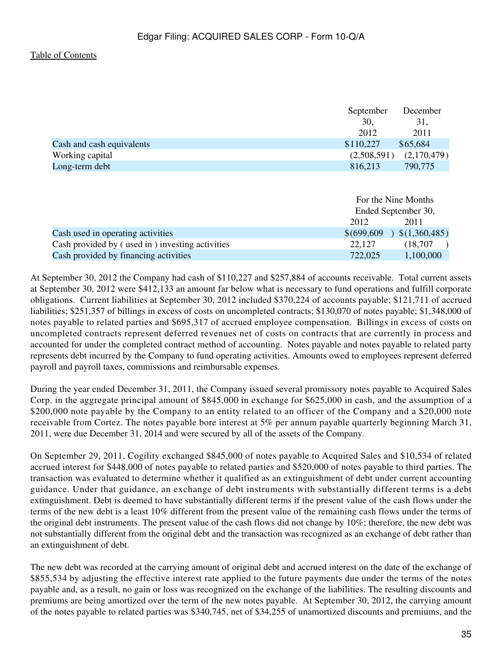|                           | September   | December    |
|---------------------------|-------------|-------------|
|                           | 30.         | 31,         |
|                           | 2012        | 2011        |
| Cash and cash equivalents | \$110,227   | \$65,684    |
| Working capital           | (2,508,591) | (2,170,479) |
| Long-term debt            | 816,213     | 790,775     |

|                                                 |             | For the Nine Months<br>Ended September 30, |  |
|-------------------------------------------------|-------------|--------------------------------------------|--|
|                                                 | 2012        | 2011                                       |  |
| Cash used in operating activities               | \$(699,609) | \$(1,360,485)                              |  |
| Cash provided by (used in) investing activities | 22,127      | (18, 707)                                  |  |
| Cash provided by financing activities           | 722,025     | 1,100,000                                  |  |

At September 30, 2012 the Company had cash of \$110,227 and \$257,884 of accounts receivable. Total current assets at September 30, 2012 were \$412,133 an amount far below what is necessary to fund operations and fulfill corporate obligations. Current liabilities at September 30, 2012 included \$370,224 of accounts payable; \$121,711 of accrued liabilities; \$251,357 of billings in excess of costs on uncompleted contracts; \$130,070 of notes payable; \$1,348,000 of notes payable to related parties and \$695,317 of accrued employee compensation. Billings in excess of costs on uncompleted contracts represent deferred revenues net of costs on contracts that are currently in process and accounted for under the completed contract method of accounting. Notes payable and notes payable to related party represents debt incurred by the Company to fund operating activities. Amounts owed to employees represent deferred payroll and payroll taxes, commissions and reimbursable expenses.

During the year ended December 31, 2011, the Company issued several promissory notes payable to Acquired Sales Corp. in the aggregate principal amount of \$845,000 in exchange for \$625,000 in cash, and the assumption of a \$200,000 note payable by the Company to an entity related to an officer of the Company and a \$20,000 note receivable from Cortez. The notes payable bore interest at 5% per annum payable quarterly beginning March 31, 2011, were due December 31, 2014 and were secured by all of the assets of the Company.

On September 29, 2011, Cogility exchanged \$845,000 of notes payable to Acquired Sales and \$10,534 of related accrued interest for \$448,000 of notes payable to related parties and \$520,000 of notes payable to third parties. The transaction was evaluated to determine whether it qualified as an extinguishment of debt under current accounting guidance. Under that guidance, an exchange of debt instruments with substantially different terms is a debt extinguishment. Debt is deemed to have substantially different terms if the present value of the cash flows under the terms of the new debt is a least 10% different from the present value of the remaining cash flows under the terms of the original debt instruments. The present value of the cash flows did not change by 10%; therefore, the new debt was not substantially different from the original debt and the transaction was recognized as an exchange of debt rather than an extinguishment of debt.

The new debt was recorded at the carrying amount of original debt and accrued interest on the date of the exchange of \$855,534 by adjusting the effective interest rate applied to the future payments due under the terms of the notes payable and, as a result, no gain or loss was recognized on the exchange of the liabilities. The resulting discounts and premiums are being amortized over the term of the new notes payable. At September 30, 2012, the carrying amount of the notes payable to related parties was \$340,745, net of \$34,255 of unamortized discounts and premiums, and the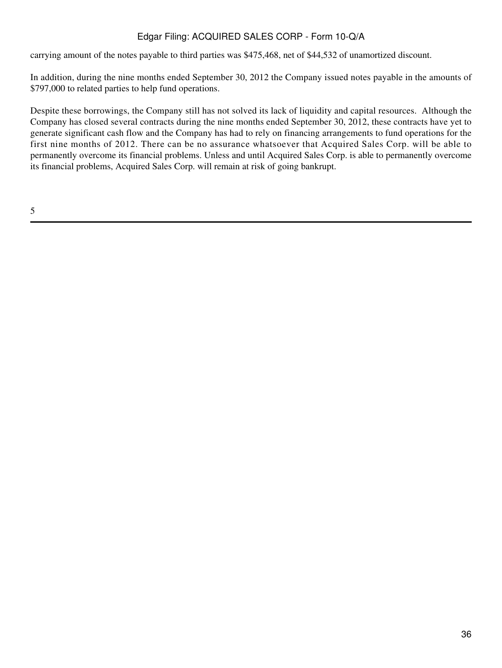carrying amount of the notes payable to third parties was \$475,468, net of \$44,532 of unamortized discount.

In addition, during the nine months ended September 30, 2012 the Company issued notes payable in the amounts of \$797,000 to related parties to help fund operations.

Despite these borrowings, the Company still has not solved its lack of liquidity and capital resources. Although the Company has closed several contracts during the nine months ended September 30, 2012, these contracts have yet to generate significant cash flow and the Company has had to rely on financing arrangements to fund operations for the first nine months of 2012. There can be no assurance whatsoever that Acquired Sales Corp. will be able to permanently overcome its financial problems. Unless and until Acquired Sales Corp. is able to permanently overcome its financial problems, Acquired Sales Corp. will remain at risk of going bankrupt.

5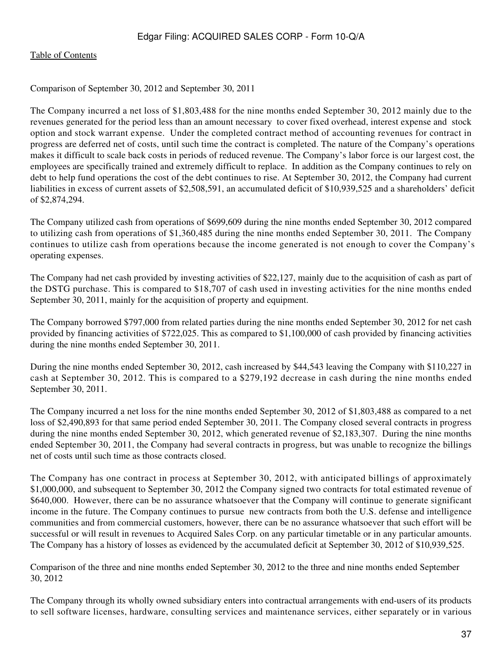Comparison of September 30, 2012 and September 30, 2011

The Company incurred a net loss of \$1,803,488 for the nine months ended September 30, 2012 mainly due to the revenues generated for the period less than an amount necessary to cover fixed overhead, interest expense and stock option and stock warrant expense. Under the completed contract method of accounting revenues for contract in progress are deferred net of costs, until such time the contract is completed. The nature of the Company's operations makes it difficult to scale back costs in periods of reduced revenue. The Company's labor force is our largest cost, the employees are specifically trained and extremely difficult to replace. In addition as the Company continues to rely on debt to help fund operations the cost of the debt continues to rise. At September 30, 2012, the Company had current liabilities in excess of current assets of \$2,508,591, an accumulated deficit of \$10,939,525 and a shareholders' deficit of \$2,874,294.

The Company utilized cash from operations of \$699,609 during the nine months ended September 30, 2012 compared to utilizing cash from operations of \$1,360,485 during the nine months ended September 30, 2011. The Company continues to utilize cash from operations because the income generated is not enough to cover the Company's operating expenses.

The Company had net cash provided by investing activities of \$22,127, mainly due to the acquisition of cash as part of the DSTG purchase. This is compared to \$18,707 of cash used in investing activities for the nine months ended September 30, 2011, mainly for the acquisition of property and equipment.

The Company borrowed \$797,000 from related parties during the nine months ended September 30, 2012 for net cash provided by financing activities of \$722,025. This as compared to \$1,100,000 of cash provided by financing activities during the nine months ended September 30, 2011.

During the nine months ended September 30, 2012, cash increased by \$44,543 leaving the Company with \$110,227 in cash at September 30, 2012. This is compared to a \$279,192 decrease in cash during the nine months ended September 30, 2011.

The Company incurred a net loss for the nine months ended September 30, 2012 of \$1,803,488 as compared to a net loss of \$2,490,893 for that same period ended September 30, 2011. The Company closed several contracts in progress during the nine months ended September 30, 2012, which generated revenue of \$2,183,307. During the nine months ended September 30, 2011, the Company had several contracts in progress, but was unable to recognize the billings net of costs until such time as those contracts closed.

The Company has one contract in process at September 30, 2012, with anticipated billings of approximately \$1,000,000, and subsequent to September 30, 2012 the Company signed two contracts for total estimated revenue of \$640,000. However, there can be no assurance whatsoever that the Company will continue to generate significant income in the future. The Company continues to pursue new contracts from both the U.S. defense and intelligence communities and from commercial customers, however, there can be no assurance whatsoever that such effort will be successful or will result in revenues to Acquired Sales Corp. on any particular timetable or in any particular amounts. The Company has a history of losses as evidenced by the accumulated deficit at September 30, 2012 of \$10,939,525.

Comparison of the three and nine months ended September 30, 2012 to the three and nine months ended September 30, 2012

The Company through its wholly owned subsidiary enters into contractual arrangements with end-users of its products to sell software licenses, hardware, consulting services and maintenance services, either separately or in various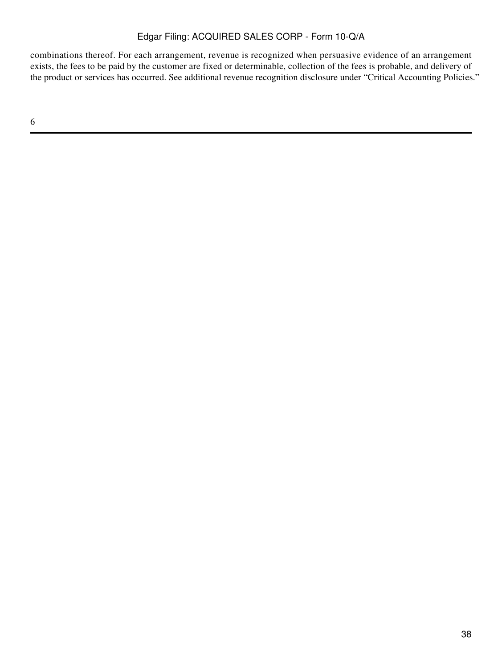combinations thereof. For each arrangement, revenue is recognized when persuasive evidence of an arrangement exists, the fees to be paid by the customer are fixed or determinable, collection of the fees is probable, and delivery of the product or services has occurred. See additional revenue recognition disclosure under "Critical Accounting Policies."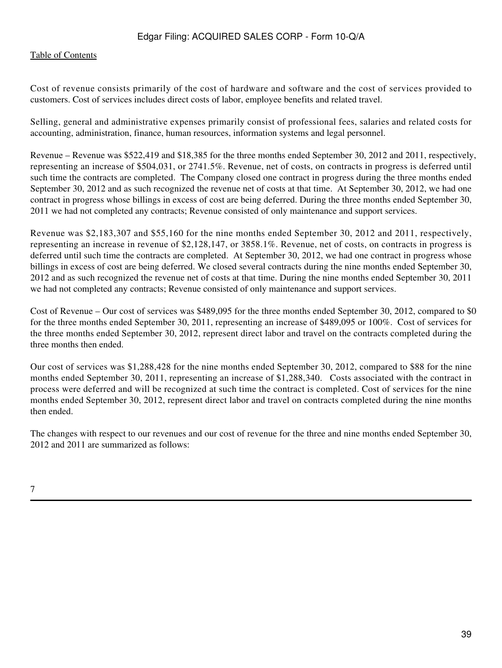#### [Table of Contents](#page-4-0)

Cost of revenue consists primarily of the cost of hardware and software and the cost of services provided to customers. Cost of services includes direct costs of labor, employee benefits and related travel.

Selling, general and administrative expenses primarily consist of professional fees, salaries and related costs for accounting, administration, finance, human resources, information systems and legal personnel.

Revenue – Revenue was \$522,419 and \$18,385 for the three months ended September 30, 2012 and 2011, respectively, representing an increase of \$504,031, or 2741.5%. Revenue, net of costs, on contracts in progress is deferred until such time the contracts are completed. The Company closed one contract in progress during the three months ended September 30, 2012 and as such recognized the revenue net of costs at that time. At September 30, 2012, we had one contract in progress whose billings in excess of cost are being deferred. During the three months ended September 30, 2011 we had not completed any contracts; Revenue consisted of only maintenance and support services.

Revenue was \$2,183,307 and \$55,160 for the nine months ended September 30, 2012 and 2011, respectively, representing an increase in revenue of \$2,128,147, or 3858.1%. Revenue, net of costs, on contracts in progress is deferred until such time the contracts are completed. At September 30, 2012, we had one contract in progress whose billings in excess of cost are being deferred. We closed several contracts during the nine months ended September 30, 2012 and as such recognized the revenue net of costs at that time. During the nine months ended September 30, 2011 we had not completed any contracts; Revenue consisted of only maintenance and support services.

Cost of Revenue – Our cost of services was \$489,095 for the three months ended September 30, 2012, compared to \$0 for the three months ended September 30, 2011, representing an increase of \$489,095 or 100%. Cost of services for the three months ended September 30, 2012, represent direct labor and travel on the contracts completed during the three months then ended.

Our cost of services was \$1,288,428 for the nine months ended September 30, 2012, compared to \$88 for the nine months ended September 30, 2011, representing an increase of \$1,288,340. Costs associated with the contract in process were deferred and will be recognized at such time the contract is completed. Cost of services for the nine months ended September 30, 2012, represent direct labor and travel on contracts completed during the nine months then ended.

The changes with respect to our revenues and our cost of revenue for the three and nine months ended September 30, 2012 and 2011 are summarized as follows: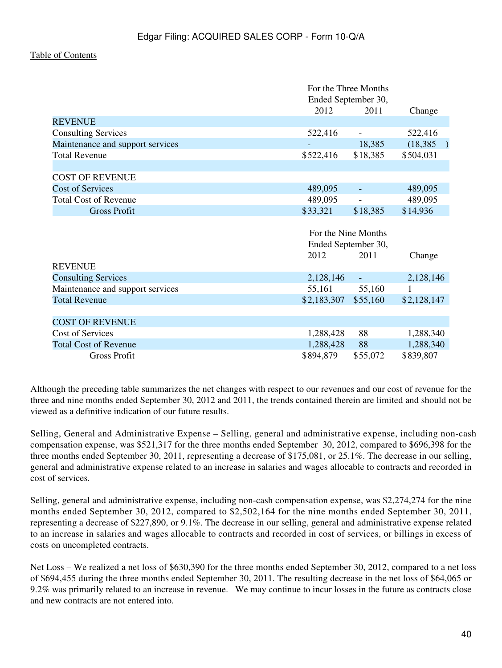|                                  |                     | For the Three Months<br>Ended September 30, |                            |
|----------------------------------|---------------------|---------------------------------------------|----------------------------|
|                                  | 2012                | 2011                                        | Change                     |
| <b>REVENUE</b>                   |                     |                                             |                            |
| <b>Consulting Services</b>       | 522,416             |                                             | 522,416                    |
| Maintenance and support services |                     | 18,385                                      | (18, 385)<br>$\rightarrow$ |
| <b>Total Revenue</b>             | \$522,416           | \$18,385                                    | \$504,031                  |
|                                  |                     |                                             |                            |
| <b>COST OF REVENUE</b>           |                     |                                             |                            |
| <b>Cost of Services</b>          | 489,095             |                                             | 489,095                    |
| <b>Total Cost of Revenue</b>     | 489,095             |                                             | 489,095                    |
| <b>Gross Profit</b>              | \$33,321            | \$18,385                                    | \$14,936                   |
|                                  |                     |                                             |                            |
|                                  | For the Nine Months |                                             |                            |
|                                  |                     | Ended September 30,                         |                            |
|                                  | 2012                | 2011                                        | Change                     |
| <b>REVENUE</b>                   |                     |                                             |                            |
| <b>Consulting Services</b>       | 2,128,146           |                                             | 2,128,146                  |
| Maintenance and support services | 55,161              | 55,160                                      |                            |
| <b>Total Revenue</b>             | \$2,183,307         | \$55,160                                    | \$2,128,147                |
|                                  |                     |                                             |                            |
| <b>COST OF REVENUE</b>           |                     |                                             |                            |
| Cost of Services                 | 1,288,428           | 88                                          | 1,288,340                  |
| <b>Total Cost of Revenue</b>     | 1,288,428           | 88                                          | 1,288,340                  |
| <b>Gross Profit</b>              | \$894,879           | \$55,072                                    | \$839,807                  |

Although the preceding table summarizes the net changes with respect to our revenues and our cost of revenue for the three and nine months ended September 30, 2012 and 2011, the trends contained therein are limited and should not be viewed as a definitive indication of our future results.

Selling, General and Administrative Expense – Selling, general and administrative expense, including non-cash compensation expense, was \$521,317 for the three months ended September 30, 2012, compared to \$696,398 for the three months ended September 30, 2011, representing a decrease of \$175,081, or 25.1%. The decrease in our selling, general and administrative expense related to an increase in salaries and wages allocable to contracts and recorded in cost of services.

Selling, general and administrative expense, including non-cash compensation expense, was \$2,274,274 for the nine months ended September 30, 2012, compared to \$2,502,164 for the nine months ended September 30, 2011, representing a decrease of \$227,890, or 9.1%. The decrease in our selling, general and administrative expense related to an increase in salaries and wages allocable to contracts and recorded in cost of services, or billings in excess of costs on uncompleted contracts.

Net Loss – We realized a net loss of \$630,390 for the three months ended September 30, 2012, compared to a net loss of \$694,455 during the three months ended September 30, 2011. The resulting decrease in the net loss of \$64,065 or 9.2% was primarily related to an increase in revenue. We may continue to incur losses in the future as contracts close and new contracts are not entered into.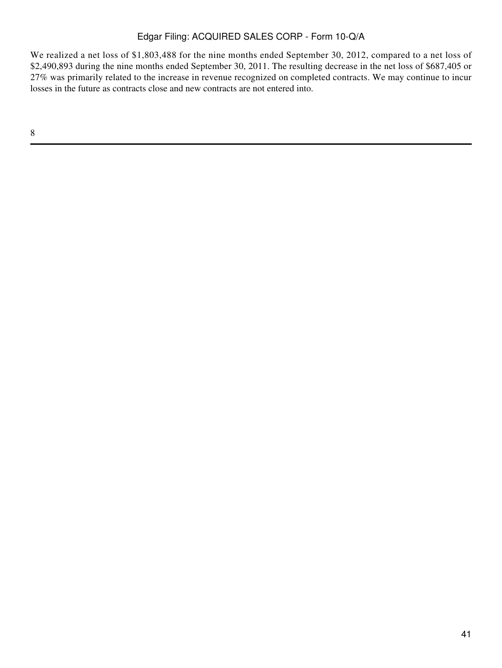We realized a net loss of \$1,803,488 for the nine months ended September 30, 2012, compared to a net loss of \$2,490,893 during the nine months ended September 30, 2011. The resulting decrease in the net loss of \$687,405 or 27% was primarily related to the increase in revenue recognized on completed contracts. We may continue to incur losses in the future as contracts close and new contracts are not entered into.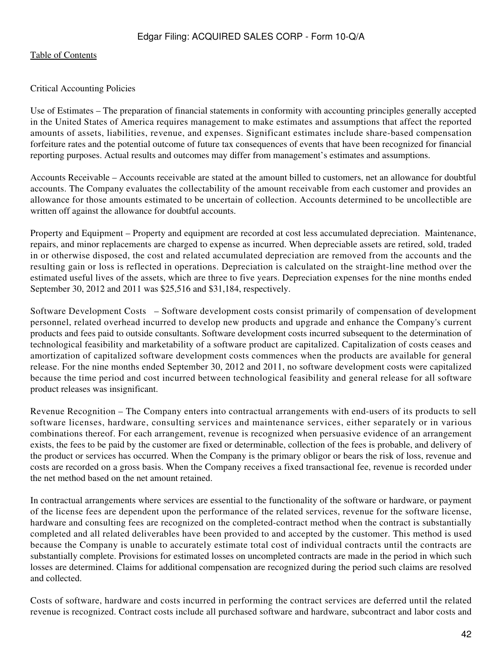#### Critical Accounting Policies

Use of Estimates – The preparation of financial statements in conformity with accounting principles generally accepted in the United States of America requires management to make estimates and assumptions that affect the reported amounts of assets, liabilities, revenue, and expenses. Significant estimates include share-based compensation forfeiture rates and the potential outcome of future tax consequences of events that have been recognized for financial reporting purposes. Actual results and outcomes may differ from management's estimates and assumptions.

Accounts Receivable – Accounts receivable are stated at the amount billed to customers, net an allowance for doubtful accounts. The Company evaluates the collectability of the amount receivable from each customer and provides an allowance for those amounts estimated to be uncertain of collection. Accounts determined to be uncollectible are written off against the allowance for doubtful accounts.

Property and Equipment – Property and equipment are recorded at cost less accumulated depreciation. Maintenance, repairs, and minor replacements are charged to expense as incurred. When depreciable assets are retired, sold, traded in or otherwise disposed, the cost and related accumulated depreciation are removed from the accounts and the resulting gain or loss is reflected in operations. Depreciation is calculated on the straight-line method over the estimated useful lives of the assets, which are three to five years. Depreciation expenses for the nine months ended September 30, 2012 and 2011 was \$25,516 and \$31,184, respectively.

Software Development Costs – Software development costs consist primarily of compensation of development personnel, related overhead incurred to develop new products and upgrade and enhance the Company's current products and fees paid to outside consultants. Software development costs incurred subsequent to the determination of technological feasibility and marketability of a software product are capitalized. Capitalization of costs ceases and amortization of capitalized software development costs commences when the products are available for general release. For the nine months ended September 30, 2012 and 2011, no software development costs were capitalized because the time period and cost incurred between technological feasibility and general release for all software product releases was insignificant.

Revenue Recognition – The Company enters into contractual arrangements with end-users of its products to sell software licenses, hardware, consulting services and maintenance services, either separately or in various combinations thereof. For each arrangement, revenue is recognized when persuasive evidence of an arrangement exists, the fees to be paid by the customer are fixed or determinable, collection of the fees is probable, and delivery of the product or services has occurred. When the Company is the primary obligor or bears the risk of loss, revenue and costs are recorded on a gross basis. When the Company receives a fixed transactional fee, revenue is recorded under the net method based on the net amount retained.

In contractual arrangements where services are essential to the functionality of the software or hardware, or payment of the license fees are dependent upon the performance of the related services, revenue for the software license, hardware and consulting fees are recognized on the completed-contract method when the contract is substantially completed and all related deliverables have been provided to and accepted by the customer. This method is used because the Company is unable to accurately estimate total cost of individual contracts until the contracts are substantially complete. Provisions for estimated losses on uncompleted contracts are made in the period in which such losses are determined. Claims for additional compensation are recognized during the period such claims are resolved and collected.

Costs of software, hardware and costs incurred in performing the contract services are deferred until the related revenue is recognized. Contract costs include all purchased software and hardware, subcontract and labor costs and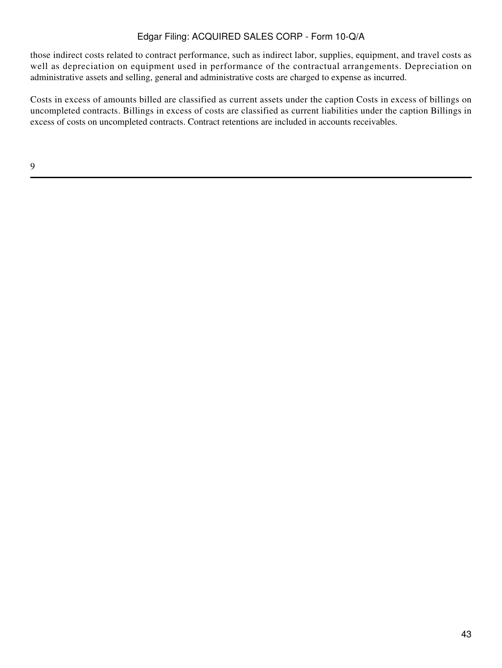those indirect costs related to contract performance, such as indirect labor, supplies, equipment, and travel costs as well as depreciation on equipment used in performance of the contractual arrangements. Depreciation on administrative assets and selling, general and administrative costs are charged to expense as incurred.

Costs in excess of amounts billed are classified as current assets under the caption Costs in excess of billings on uncompleted contracts. Billings in excess of costs are classified as current liabilities under the caption Billings in excess of costs on uncompleted contracts. Contract retentions are included in accounts receivables.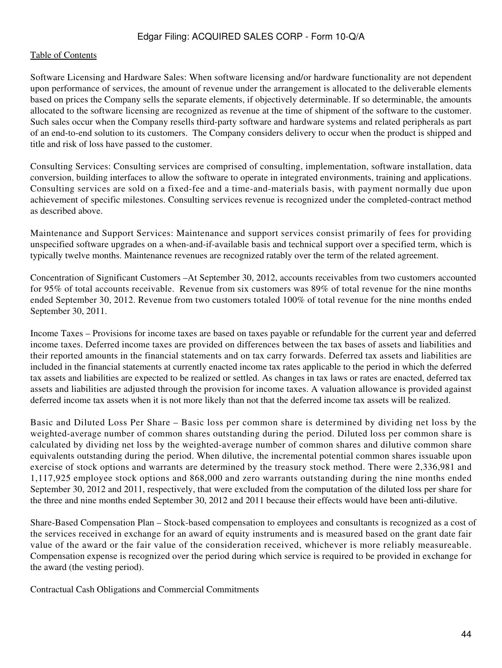#### [Table of Contents](#page-4-0)

Software Licensing and Hardware Sales: When software licensing and/or hardware functionality are not dependent upon performance of services, the amount of revenue under the arrangement is allocated to the deliverable elements based on prices the Company sells the separate elements, if objectively determinable. If so determinable, the amounts allocated to the software licensing are recognized as revenue at the time of shipment of the software to the customer. Such sales occur when the Company resells third-party software and hardware systems and related peripherals as part of an end-to-end solution to its customers. The Company considers delivery to occur when the product is shipped and title and risk of loss have passed to the customer.

Consulting Services: Consulting services are comprised of consulting, implementation, software installation, data conversion, building interfaces to allow the software to operate in integrated environments, training and applications. Consulting services are sold on a fixed-fee and a time-and-materials basis, with payment normally due upon achievement of specific milestones. Consulting services revenue is recognized under the completed-contract method as described above.

Maintenance and Support Services: Maintenance and support services consist primarily of fees for providing unspecified software upgrades on a when-and-if-available basis and technical support over a specified term, which is typically twelve months. Maintenance revenues are recognized ratably over the term of the related agreement.

Concentration of Significant Customers –At September 30, 2012, accounts receivables from two customers accounted for 95% of total accounts receivable. Revenue from six customers was 89% of total revenue for the nine months ended September 30, 2012. Revenue from two customers totaled 100% of total revenue for the nine months ended September 30, 2011.

Income Taxes – Provisions for income taxes are based on taxes payable or refundable for the current year and deferred income taxes. Deferred income taxes are provided on differences between the tax bases of assets and liabilities and their reported amounts in the financial statements and on tax carry forwards. Deferred tax assets and liabilities are included in the financial statements at currently enacted income tax rates applicable to the period in which the deferred tax assets and liabilities are expected to be realized or settled. As changes in tax laws or rates are enacted, deferred tax assets and liabilities are adjusted through the provision for income taxes. A valuation allowance is provided against deferred income tax assets when it is not more likely than not that the deferred income tax assets will be realized.

Basic and Diluted Loss Per Share – Basic loss per common share is determined by dividing net loss by the weighted-average number of common shares outstanding during the period. Diluted loss per common share is calculated by dividing net loss by the weighted-average number of common shares and dilutive common share equivalents outstanding during the period. When dilutive, the incremental potential common shares issuable upon exercise of stock options and warrants are determined by the treasury stock method. There were 2,336,981 and 1,117,925 employee stock options and 868,000 and zero warrants outstanding during the nine months ended September 30, 2012 and 2011, respectively, that were excluded from the computation of the diluted loss per share for the three and nine months ended September 30, 2012 and 2011 because their effects would have been anti-dilutive.

Share-Based Compensation Plan – Stock-based compensation to employees and consultants is recognized as a cost of the services received in exchange for an award of equity instruments and is measured based on the grant date fair value of the award or the fair value of the consideration received, whichever is more reliably measureable. Compensation expense is recognized over the period during which service is required to be provided in exchange for the award (the vesting period).

Contractual Cash Obligations and Commercial Commitments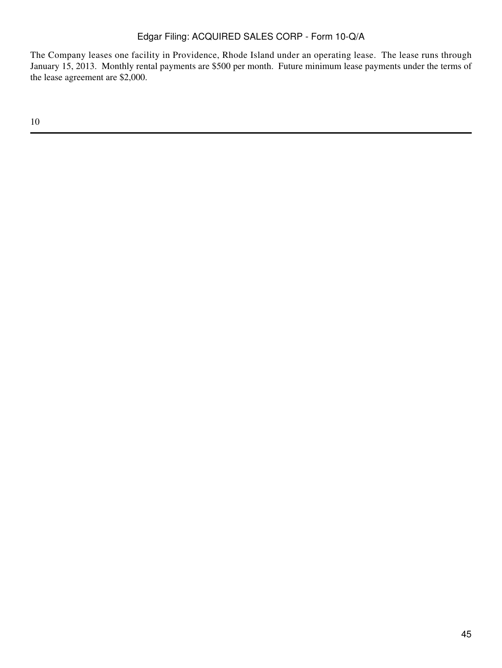The Company leases one facility in Providence, Rhode Island under an operating lease. The lease runs through January 15, 2013. Monthly rental payments are \$500 per month. Future minimum lease payments under the terms of the lease agreement are \$2,000.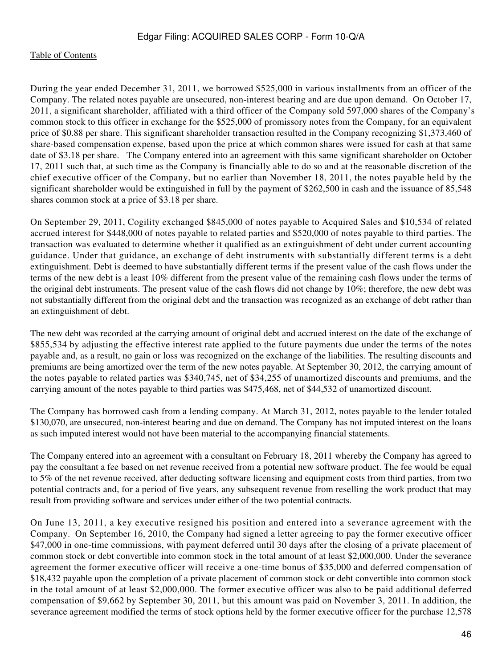During the year ended December 31, 2011, we borrowed \$525,000 in various installments from an officer of the Company. The related notes payable are unsecured, non-interest bearing and are due upon demand. On October 17, 2011, a significant shareholder, affiliated with a third officer of the Company sold 597,000 shares of the Company's common stock to this officer in exchange for the \$525,000 of promissory notes from the Company, for an equivalent price of \$0.88 per share. This significant shareholder transaction resulted in the Company recognizing \$1,373,460 of share-based compensation expense, based upon the price at which common shares were issued for cash at that same date of \$3.18 per share. The Company entered into an agreement with this same significant shareholder on October 17, 2011 such that, at such time as the Company is financially able to do so and at the reasonable discretion of the chief executive officer of the Company, but no earlier than November 18, 2011, the notes payable held by the significant shareholder would be extinguished in full by the payment of \$262,500 in cash and the issuance of 85,548 shares common stock at a price of \$3.18 per share.

On September 29, 2011, Cogility exchanged \$845,000 of notes payable to Acquired Sales and \$10,534 of related accrued interest for \$448,000 of notes payable to related parties and \$520,000 of notes payable to third parties. The transaction was evaluated to determine whether it qualified as an extinguishment of debt under current accounting guidance. Under that guidance, an exchange of debt instruments with substantially different terms is a debt extinguishment. Debt is deemed to have substantially different terms if the present value of the cash flows under the terms of the new debt is a least 10% different from the present value of the remaining cash flows under the terms of the original debt instruments. The present value of the cash flows did not change by  $10\%$ ; therefore, the new debt was not substantially different from the original debt and the transaction was recognized as an exchange of debt rather than an extinguishment of debt.

The new debt was recorded at the carrying amount of original debt and accrued interest on the date of the exchange of \$855,534 by adjusting the effective interest rate applied to the future payments due under the terms of the notes payable and, as a result, no gain or loss was recognized on the exchange of the liabilities. The resulting discounts and premiums are being amortized over the term of the new notes payable. At September 30, 2012, the carrying amount of the notes payable to related parties was \$340,745, net of \$34,255 of unamortized discounts and premiums, and the carrying amount of the notes payable to third parties was \$475,468, net of \$44,532 of unamortized discount.

The Company has borrowed cash from a lending company. At March 31, 2012, notes payable to the lender totaled \$130,070, are unsecured, non-interest bearing and due on demand. The Company has not imputed interest on the loans as such imputed interest would not have been material to the accompanying financial statements.

The Company entered into an agreement with a consultant on February 18, 2011 whereby the Company has agreed to pay the consultant a fee based on net revenue received from a potential new software product. The fee would be equal to 5% of the net revenue received, after deducting software licensing and equipment costs from third parties, from two potential contracts and, for a period of five years, any subsequent revenue from reselling the work product that may result from providing software and services under either of the two potential contracts.

On June 13, 2011, a key executive resigned his position and entered into a severance agreement with the Company. On September 16, 2010, the Company had signed a letter agreeing to pay the former executive officer \$47,000 in one-time commissions, with payment deferred until 30 days after the closing of a private placement of common stock or debt convertible into common stock in the total amount of at least \$2,000,000. Under the severance agreement the former executive officer will receive a one-time bonus of \$35,000 and deferred compensation of \$18,432 payable upon the completion of a private placement of common stock or debt convertible into common stock in the total amount of at least \$2,000,000. The former executive officer was also to be paid additional deferred compensation of \$9,662 by September 30, 2011, but this amount was paid on November 3, 2011. In addition, the severance agreement modified the terms of stock options held by the former executive officer for the purchase 12,578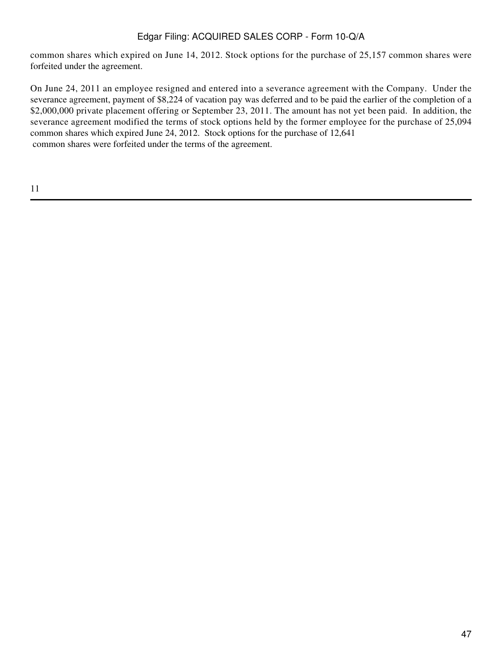common shares which expired on June 14, 2012. Stock options for the purchase of 25,157 common shares were forfeited under the agreement.

On June 24, 2011 an employee resigned and entered into a severance agreement with the Company. Under the severance agreement, payment of \$8,224 of vacation pay was deferred and to be paid the earlier of the completion of a \$2,000,000 private placement offering or September 23, 2011. The amount has not yet been paid. In addition, the severance agreement modified the terms of stock options held by the former employee for the purchase of 25,094 common shares which expired June 24, 2012. Stock options for the purchase of 12,641 common shares were forfeited under the terms of the agreement.

11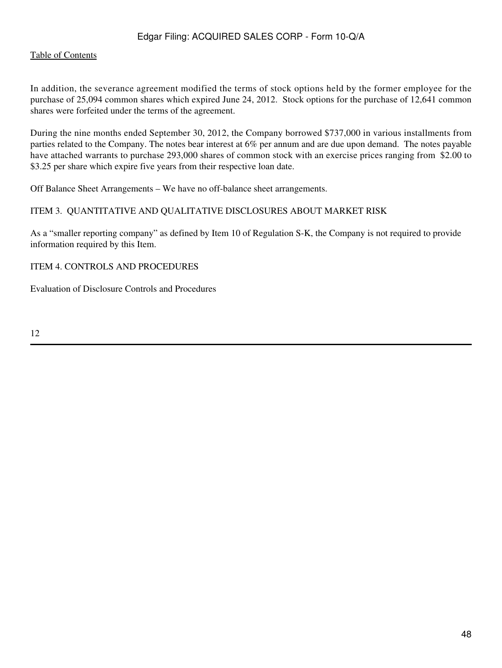#### [Table of Contents](#page-4-0)

In addition, the severance agreement modified the terms of stock options held by the former employee for the purchase of 25,094 common shares which expired June 24, 2012. Stock options for the purchase of 12,641 common shares were forfeited under the terms of the agreement.

During the nine months ended September 30, 2012, the Company borrowed \$737,000 in various installments from parties related to the Company. The notes bear interest at 6% per annum and are due upon demand. The notes payable have attached warrants to purchase 293,000 shares of common stock with an exercise prices ranging from \$2.00 to \$3.25 per share which expire five years from their respective loan date.

Off Balance Sheet Arrangements – We have no off-balance sheet arrangements.

#### <span id="page-47-0"></span>ITEM 3. QUANTITATIVE AND QUALITATIVE DISCLOSURES ABOUT MARKET RISK

As a "smaller reporting company" as defined by Item 10 of Regulation S-K, the Company is not required to provide information required by this Item.

ITEM 4. CONTROLS AND PROCEDURES

Evaluation of Disclosure Controls and Procedures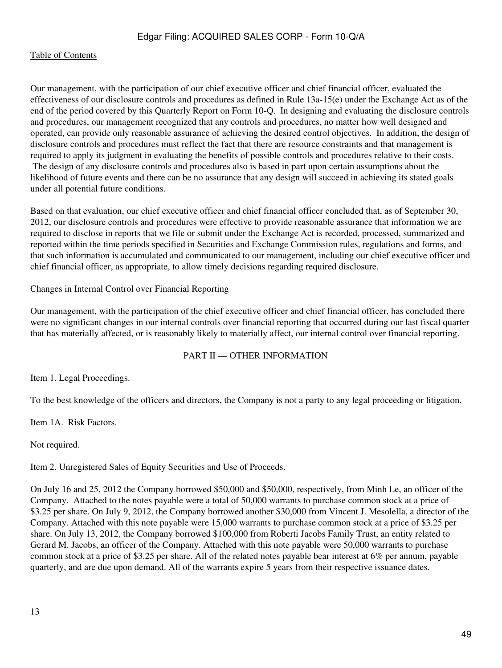Our management, with the participation of our chief executive officer and chief financial officer, evaluated the effectiveness of our disclosure controls and procedures as defined in Rule 13a-15(e) under the Exchange Act as of the end of the period covered by this Quarterly Report on Form 10-Q. In designing and evaluating the disclosure controls and procedures, our management recognized that any controls and procedures, no matter how well designed and operated, can provide only reasonable assurance of achieving the desired control objectives. In addition, the design of disclosure controls and procedures must reflect the fact that there are resource constraints and that management is required to apply its judgment in evaluating the benefits of possible controls and procedures relative to their costs. The design of any disclosure controls and procedures also is based in part upon certain assumptions about the likelihood of future events and there can be no assurance that any design will succeed in achieving its stated goals under all potential future conditions.

Based on that evaluation, our chief executive officer and chief financial officer concluded that, as of September 30, 2012, our disclosure controls and procedures were effective to provide reasonable assurance that information we are required to disclose in reports that we file or submit under the Exchange Act is recorded, processed, summarized and reported within the time periods specified in Securities and Exchange Commission rules, regulations and forms, and that such information is accumulated and communicated to our management, including our chief executive officer and chief financial officer, as appropriate, to allow timely decisions regarding required disclosure.

Changes in Internal Control over Financial Reporting

Our management, with the participation of the chief executive officer and chief financial officer, has concluded there were no significant changes in our internal controls over financial reporting that occurred during our last fiscal quarter that has materially affected, or is reasonably likely to materially affect, our internal control over financial reporting.

#### PART II — OTHER INFORMATION

<span id="page-48-0"></span>Item 1. Legal Proceedings.

To the best knowledge of the officers and directors, the Company is not a party to any legal proceeding or litigation.

Item 1A. Risk Factors.

Not required.

Item 2. Unregistered Sales of Equity Securities and Use of Proceeds.

On July 16 and 25, 2012 the Company borrowed \$50,000 and \$50,000, respectively, from Minh Le, an officer of the Company. Attached to the notes payable were a total of 50,000 warrants to purchase common stock at a price of \$3.25 per share. On July 9, 2012, the Company borrowed another \$30,000 from Vincent J. Mesolella, a director of the Company. Attached with this note payable were 15,000 warrants to purchase common stock at a price of \$3.25 per share. On July 13, 2012, the Company borrowed \$100,000 from Roberti Jacobs Family Trust, an entity related to Gerard M. Jacobs, an officer of the Company. Attached with this note payable were 50,000 warrants to purchase common stock at a price of \$3.25 per share. All of the related notes payable bear interest at 6% per annum, payable quarterly, and are due upon demand. All of the warrants expire 5 years from their respective issuance dates.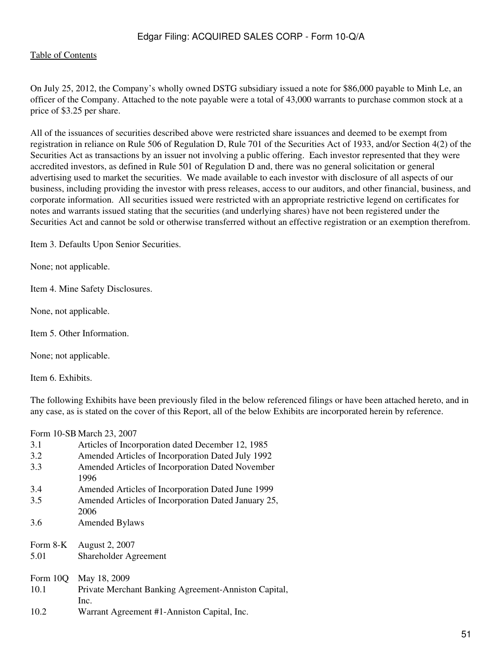#### [Table of Contents](#page-4-0)

On July 25, 2012, the Company's wholly owned DSTG subsidiary issued a note for \$86,000 payable to Minh Le, an officer of the Company. Attached to the note payable were a total of 43,000 warrants to purchase common stock at a price of \$3.25 per share.

All of the issuances of securities described above were restricted share issuances and deemed to be exempt from registration in reliance on Rule 506 of Regulation D, Rule 701 of the Securities Act of 1933, and/or Section 4(2) of the Securities Act as transactions by an issuer not involving a public offering. Each investor represented that they were accredited investors, as defined in Rule 501 of Regulation D and, there was no general solicitation or general advertising used to market the securities. We made available to each investor with disclosure of all aspects of our business, including providing the investor with press releases, access to our auditors, and other financial, business, and corporate information. All securities issued were restricted with an appropriate restrictive legend on certificates for notes and warrants issued stating that the securities (and underlying shares) have not been registered under the Securities Act and cannot be sold or otherwise transferred without an effective registration or an exemption therefrom.

<span id="page-50-0"></span>Item 3. Defaults Upon Senior Securities.

None; not applicable.

Item 4. Mine Safety Disclosures.

None, not applicable.

Item 5. Other Information.

None; not applicable.

Item 6. Exhibits.

The following Exhibits have been previously filed in the below referenced filings or have been attached hereto, and in any case, as is stated on the cover of this Report, all of the below Exhibits are incorporated herein by reference.

Form 10-SB March 23, 2007

| 3.1      | Articles of Incorporation dated December 12, 1985           |
|----------|-------------------------------------------------------------|
| 3.2      | Amended Articles of Incorporation Dated July 1992           |
| 3.3      | Amended Articles of Incorporation Dated November<br>1996    |
| 3.4      | Amended Articles of Incorporation Dated June 1999           |
| 3.5      | Amended Articles of Incorporation Dated January 25,<br>2006 |
| 3.6      | <b>Amended Bylaws</b>                                       |
| Form 8-K | August 2, 2007                                              |
| 5.01     | Shareholder Agreement                                       |
| Form 10Q | May 18, 2009                                                |
| 10.1     | Private Merchant Banking Agreement-Anniston Capital,        |
|          | Inc.                                                        |
| 10.2     | Warrant Agreement #1-Anniston Capital, Inc.                 |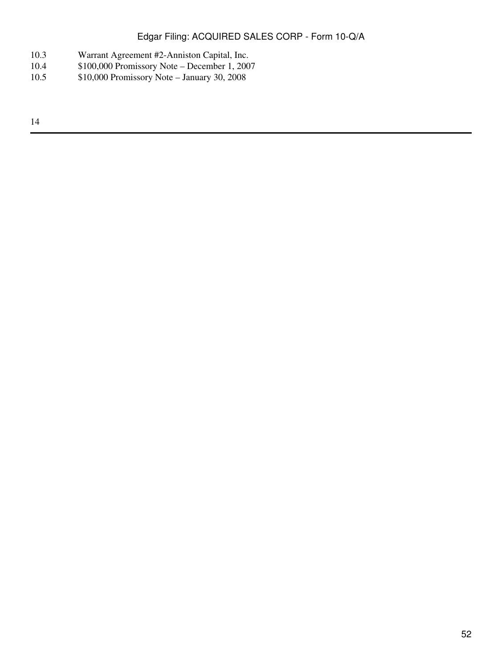- 10.3 Warrant Agreement #2-Anniston Capital, Inc.<br>10.4 \$100,000 Promissory Note December 1, 200
- 10.4 \$100,000 Promissory Note December 1, 2007
- 10.5 \$10,000 Promissory Note January 30, 2008

14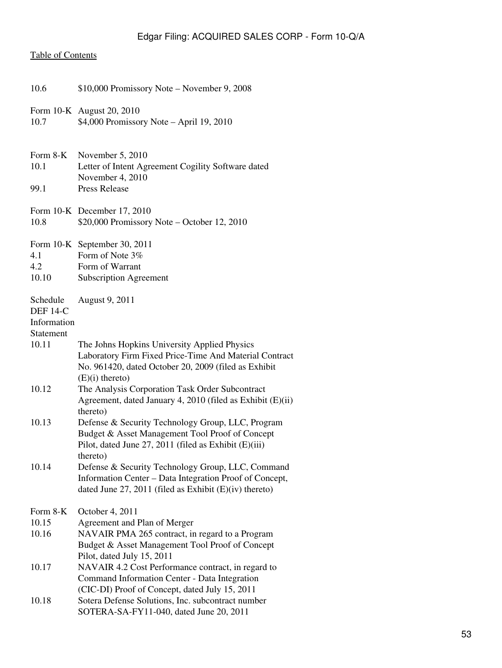# [Table of Contents](#page-4-0)

| 10.6                                       | \$10,000 Promissory Note – November 9, 2008                                                                                                                                         |
|--------------------------------------------|-------------------------------------------------------------------------------------------------------------------------------------------------------------------------------------|
| 10.7                                       | Form 10-K August 20, 2010<br>\$4,000 Promissory Note - April 19, 2010                                                                                                               |
| Form 8-K<br>10.1                           | November 5, 2010<br>Letter of Intent Agreement Cogility Software dated<br>November 4, 2010                                                                                          |
| 99.1                                       | <b>Press Release</b>                                                                                                                                                                |
| 10.8                                       | Form 10-K December 17, 2010<br>\$20,000 Promissory Note - October 12, 2010                                                                                                          |
|                                            | Form 10-K September 30, 2011                                                                                                                                                        |
| 4.1                                        | Form of Note 3%                                                                                                                                                                     |
| 4.2<br>10.10                               | Form of Warrant<br><b>Subscription Agreement</b>                                                                                                                                    |
| Schedule<br><b>DEF 14-C</b><br>Information | August 9, 2011                                                                                                                                                                      |
| Statement                                  |                                                                                                                                                                                     |
| 10.11                                      | The Johns Hopkins University Applied Physics<br>Laboratory Firm Fixed Price-Time And Material Contract<br>No. 961420, dated October 20, 2009 (filed as Exhibit<br>$(E)(i)$ thereto) |
| 10.12                                      | The Analysis Corporation Task Order Subcontract<br>Agreement, dated January 4, 2010 (filed as Exhibit (E)(ii)<br>thereto)                                                           |
| 10.13                                      | Defense & Security Technology Group, LLC, Program<br>Budget & Asset Management Tool Proof of Concept<br>Pilot, dated June 27, 2011 (filed as Exhibit (E)(iii)<br>thereto)           |
| 10.14                                      | Defense & Security Technology Group, LLC, Command<br>Information Center – Data Integration Proof of Concept,<br>dated June 27, 2011 (filed as Exhibit $(E)(iv)$ thereto)            |
| Form 8-K                                   | October 4, 2011                                                                                                                                                                     |
| 10.15<br>10.16                             | Agreement and Plan of Merger<br>NAVAIR PMA 265 contract, in regard to a Program<br>Budget & Asset Management Tool Proof of Concept<br>Pilot, dated July 15, 2011                    |
| 10.17                                      | NAVAIR 4.2 Cost Performance contract, in regard to<br>Command Information Center - Data Integration<br>(CIC-DI) Proof of Concept, dated July 15, 2011                               |
| 10.18                                      | Sotera Defense Solutions, Inc. subcontract number<br>SOTERA-SA-FY11-040, dated June 20, 2011                                                                                        |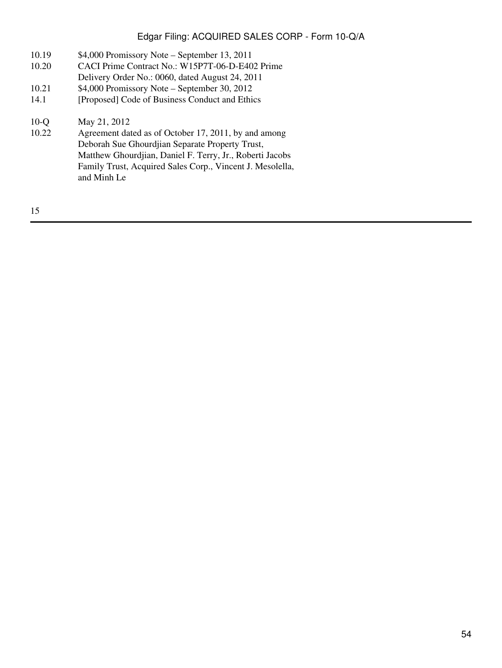- 10.19 \$4,000 Promissory Note September 13, 2011
- 10.20 CACI Prime Contract No.: W15P7T-06-D-E402 Prime
- Delivery Order No.: 0060, dated August 24, 2011
- 10.21 \$4,000 Promissory Note September 30, 2012
- 14.1 [Proposed] Code of Business Conduct and Ethics

# 10-Q May 21, 2012<br>10.22 Agreement dat

Agreement dated as of October 17, 2011, by and among Deborah Sue Ghourdjian Separate Property Trust, Matthew Ghourdjian, Daniel F. Terry, Jr., Roberti Jacobs Family Trust, Acquired Sales Corp., Vincent J. Mesolella, and Minh Le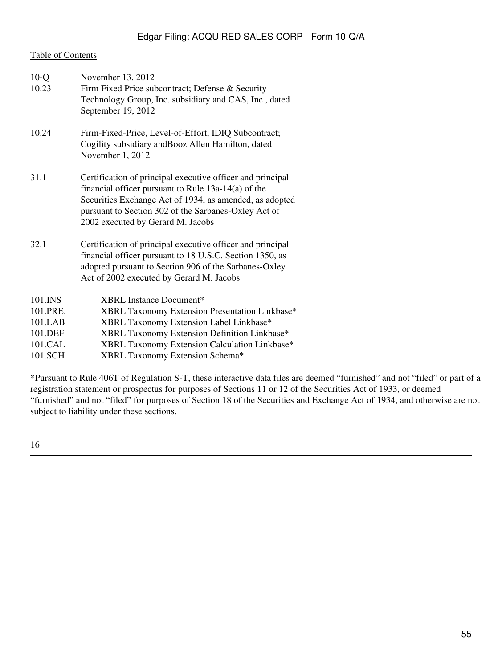#### [Table of Contents](#page-4-0)

| $10-Q$<br>10.23 | November 13, 2012<br>Firm Fixed Price subcontract; Defense & Security<br>Technology Group, Inc. subsidiary and CAS, Inc., dated<br>September 19, 2012                                                                                                                       |
|-----------------|-----------------------------------------------------------------------------------------------------------------------------------------------------------------------------------------------------------------------------------------------------------------------------|
| 10.24           | Firm-Fixed-Price, Level-of-Effort, IDIQ Subcontract;<br>Cogility subsidiary and Booz Allen Hamilton, dated<br>November 1, 2012                                                                                                                                              |
| 31.1            | Certification of principal executive officer and principal<br>financial officer pursuant to Rule $13a-14(a)$ of the<br>Securities Exchange Act of 1934, as amended, as adopted<br>pursuant to Section 302 of the Sarbanes-Oxley Act of<br>2002 executed by Gerard M. Jacobs |
| 32.1            | Certification of principal executive officer and principal<br>financial officer pursuant to 18 U.S.C. Section 1350, as<br>adopted pursuant to Section 906 of the Sarbanes-Oxley<br>Act of 2002 executed by Gerard M. Jacobs                                                 |
| 101.INS         | XBRL Instance Document*                                                                                                                                                                                                                                                     |
| 101.PRE.        | XBRL Taxonomy Extension Presentation Linkbase*                                                                                                                                                                                                                              |
| 101.LAB         | XBRL Taxonomy Extension Label Linkbase*                                                                                                                                                                                                                                     |
| 101.DEF         | XBRL Taxonomy Extension Definition Linkbase*                                                                                                                                                                                                                                |
| 101.CAL         | XBRL Taxonomy Extension Calculation Linkbase*                                                                                                                                                                                                                               |
| 101.SCH         | XBRL Taxonomy Extension Schema*                                                                                                                                                                                                                                             |

\*Pursuant to Rule 406T of Regulation S-T, these interactive data files are deemed "furnished" and not "filed" or part of a registration statement or prospectus for purposes of Sections 11 or 12 of the Securities Act of 1933, or deemed "furnished" and not "filed" for purposes of Section 18 of the Securities and Exchange Act of 1934, and otherwise are not subject to liability under these sections.

16